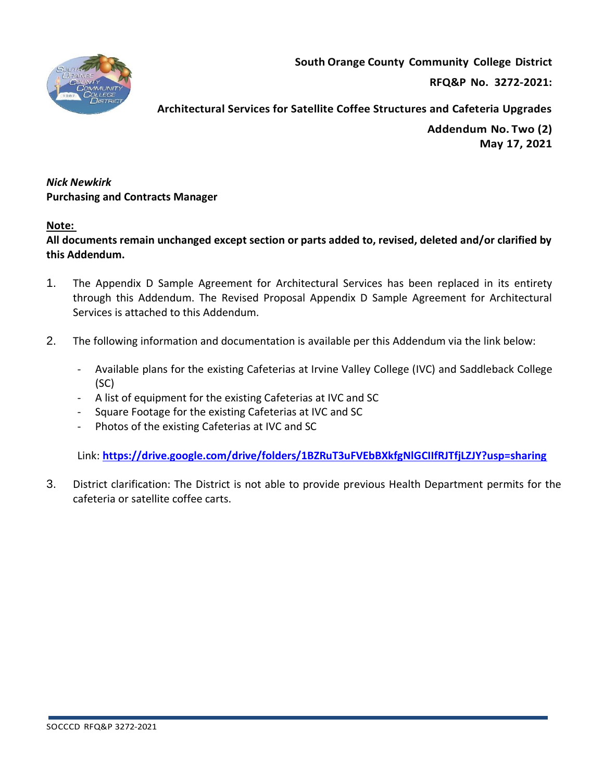

**South Orange County Community College District**

**RFQ&P No. 3272-2021:** 

**Architectural Services for Satellite Coffee Structures and Cafeteria Upgrades**

**Addendum No. Two (2) May 17, 2021**

*Nick Newkirk*  **Purchasing and Contracts Manager** 

# **Note:**

**All documents remain unchanged except section or parts added to, revised, deleted and/or clarified by this Addendum.**

- 1. The Appendix D Sample Agreement for Architectural Services has been replaced in its entirety through this Addendum. The Revised Proposal Appendix D Sample Agreement for Architectural Services is attached to this Addendum.
- 2. The following information and documentation is available per this Addendum via the link below:
	- Available plans for the existing Cafeterias at Irvine Valley College (IVC) and Saddleback College (SC)
	- A list of equipment for the existing Cafeterias at IVC and SC
	- Square Footage for the existing Cafeterias at IVC and SC
	- Photos of the existing Cafeterias at IVC and SC

Link: **<https://drive.google.com/drive/folders/1BZRuT3uFVEbBXkfgNlGCIIfRJTfjLZJY?usp=sharing>**

3. District clarification: The District is not able to provide previous Health Department permits for the cafeteria or satellite coffee carts.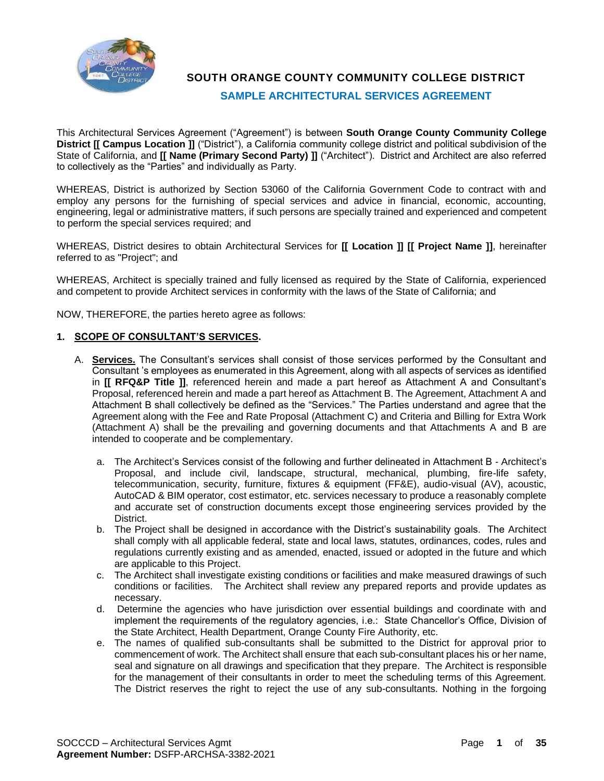

**SOUTH ORANGE COUNTY COMMUNITY COLLEGE DISTRICT SAMPLE ARCHITECTURAL SERVICES AGREEMENT**

This Architectural Services Agreement ("Agreement") is between **South Orange County Community College District [[ Campus Location ]]** ("District"), a California community college district and political subdivision of the State of California, and **[[ Name (Primary Second Party) ]]** ("Architect"). District and Architect are also referred to collectively as the "Parties" and individually as Party.

WHEREAS, District is authorized by Section 53060 of the California Government Code to contract with and employ any persons for the furnishing of special services and advice in financial, economic, accounting, engineering, legal or administrative matters, if such persons are specially trained and experienced and competent to perform the special services required; and

WHEREAS, District desires to obtain Architectural Services for **[[ Location ]] [[ Project Name ]]**, hereinafter referred to as "Project"; and

WHEREAS, Architect is specially trained and fully licensed as required by the State of California, experienced and competent to provide Architect services in conformity with the laws of the State of California; and

NOW, THEREFORE, the parties hereto agree as follows:

### **1. SCOPE OF CONSULTANT'S SERVICES.**

- A. **Services.** The Consultant's services shall consist of those services performed by the Consultant and Consultant 's employees as enumerated in this Agreement, along with all aspects of services as identified in **[[ RFQ&P Title ]]**, referenced herein and made a part hereof as Attachment A and Consultant's Proposal, referenced herein and made a part hereof as Attachment B. The Agreement, Attachment A and Attachment B shall collectively be defined as the "Services." The Parties understand and agree that the Agreement along with the Fee and Rate Proposal (Attachment C) and Criteria and Billing for Extra Work (Attachment A) shall be the prevailing and governing documents and that Attachments A and B are intended to cooperate and be complementary.
	- a. The Architect's Services consist of the following and further delineated in Attachment B Architect's Proposal, and include civil, landscape, structural, mechanical, plumbing, fire-life safety, telecommunication, security, furniture, fixtures & equipment (FF&E), audio-visual (AV), acoustic, AutoCAD & BIM operator, cost estimator, etc. services necessary to produce a reasonably complete and accurate set of construction documents except those engineering services provided by the District.
	- b. The Project shall be designed in accordance with the District's sustainability goals. The Architect shall comply with all applicable federal, state and local laws, statutes, ordinances, codes, rules and regulations currently existing and as amended, enacted, issued or adopted in the future and which are applicable to this Project.
	- c. The Architect shall investigate existing conditions or facilities and make measured drawings of such conditions or facilities. The Architect shall review any prepared reports and provide updates as necessary.
	- d. Determine the agencies who have jurisdiction over essential buildings and coordinate with and implement the requirements of the regulatory agencies, i.e.: State Chancellor's Office, Division of the State Architect, Health Department, Orange County Fire Authority, etc.
	- e. The names of qualified sub-consultants shall be submitted to the District for approval prior to commencement of work. The Architect shall ensure that each sub-consultant places his or her name, seal and signature on all drawings and specification that they prepare. The Architect is responsible for the management of their consultants in order to meet the scheduling terms of this Agreement. The District reserves the right to reject the use of any sub-consultants. Nothing in the forgoing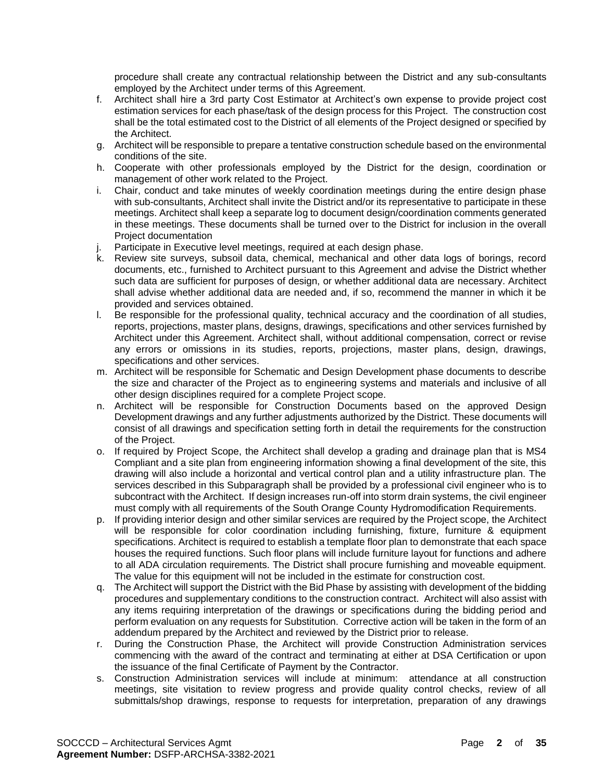procedure shall create any contractual relationship between the District and any sub-consultants employed by the Architect under terms of this Agreement.

- f. Architect shall hire a 3rd party Cost Estimator at Architect's own expense to provide project cost estimation services for each phase/task of the design process for this Project. The construction cost shall be the total estimated cost to the District of all elements of the Project designed or specified by the Architect.
- g. Architect will be responsible to prepare a tentative construction schedule based on the environmental conditions of the site.
- h. Cooperate with other professionals employed by the District for the design, coordination or management of other work related to the Project.
- i. Chair, conduct and take minutes of weekly coordination meetings during the entire design phase with sub-consultants, Architect shall invite the District and/or its representative to participate in these meetings. Architect shall keep a separate log to document design/coordination comments generated in these meetings. These documents shall be turned over to the District for inclusion in the overall Project documentation
- j. Participate in Executive level meetings, required at each design phase.
- k. Review site surveys, subsoil data, chemical, mechanical and other data logs of borings, record documents, etc., furnished to Architect pursuant to this Agreement and advise the District whether such data are sufficient for purposes of design, or whether additional data are necessary. Architect shall advise whether additional data are needed and, if so, recommend the manner in which it be provided and services obtained.
- l. Be responsible for the professional quality, technical accuracy and the coordination of all studies, reports, projections, master plans, designs, drawings, specifications and other services furnished by Architect under this Agreement. Architect shall, without additional compensation, correct or revise any errors or omissions in its studies, reports, projections, master plans, design, drawings, specifications and other services.
- m. Architect will be responsible for Schematic and Design Development phase documents to describe the size and character of the Project as to engineering systems and materials and inclusive of all other design disciplines required for a complete Project scope.
- n. Architect will be responsible for Construction Documents based on the approved Design Development drawings and any further adjustments authorized by the District. These documents will consist of all drawings and specification setting forth in detail the requirements for the construction of the Project.
- o. If required by Project Scope, the Architect shall develop a grading and drainage plan that is MS4 Compliant and a site plan from engineering information showing a final development of the site, this drawing will also include a horizontal and vertical control plan and a utility infrastructure plan. The services described in this Subparagraph shall be provided by a professional civil engineer who is to subcontract with the Architect. If design increases run-off into storm drain systems, the civil engineer must comply with all requirements of the South Orange County Hydromodification Requirements.
- p. If providing interior design and other similar services are required by the Project scope, the Architect will be responsible for color coordination including furnishing, fixture, furniture & equipment specifications. Architect is required to establish a template floor plan to demonstrate that each space houses the required functions. Such floor plans will include furniture layout for functions and adhere to all ADA circulation requirements. The District shall procure furnishing and moveable equipment. The value for this equipment will not be included in the estimate for construction cost.
- q. The Architect will support the District with the Bid Phase by assisting with development of the bidding procedures and supplementary conditions to the construction contract. Architect will also assist with any items requiring interpretation of the drawings or specifications during the bidding period and perform evaluation on any requests for Substitution. Corrective action will be taken in the form of an addendum prepared by the Architect and reviewed by the District prior to release.
- r. During the Construction Phase, the Architect will provide Construction Administration services commencing with the award of the contract and terminating at either at DSA Certification or upon the issuance of the final Certificate of Payment by the Contractor.
- s. Construction Administration services will include at minimum: attendance at all construction meetings, site visitation to review progress and provide quality control checks, review of all submittals/shop drawings, response to requests for interpretation, preparation of any drawings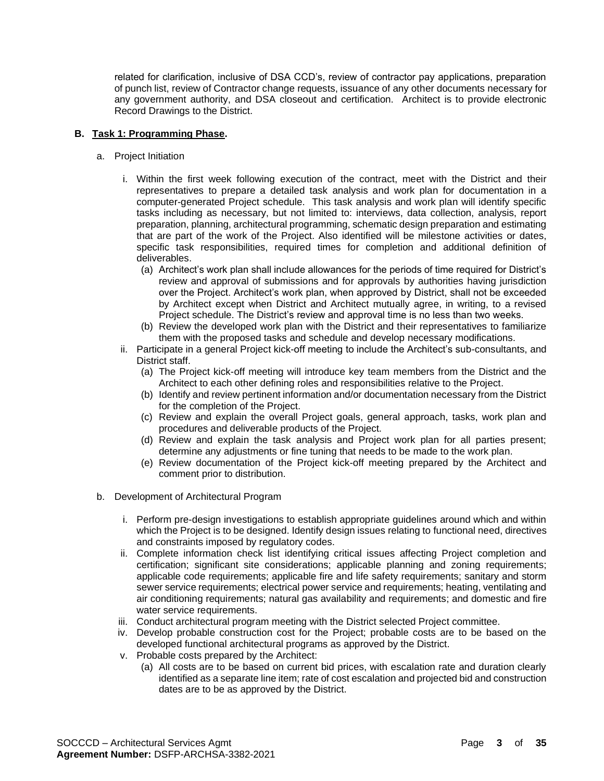related for clarification, inclusive of DSA CCD's, review of contractor pay applications, preparation of punch list, review of Contractor change requests, issuance of any other documents necessary for any government authority, and DSA closeout and certification. Architect is to provide electronic Record Drawings to the District.

# **B. Task 1: Programming Phase.**

- a. Project Initiation
	- i. Within the first week following execution of the contract, meet with the District and their representatives to prepare a detailed task analysis and work plan for documentation in a computer-generated Project schedule. This task analysis and work plan will identify specific tasks including as necessary, but not limited to: interviews, data collection, analysis, report preparation, planning, architectural programming, schematic design preparation and estimating that are part of the work of the Project. Also identified will be milestone activities or dates, specific task responsibilities, required times for completion and additional definition of deliverables.
		- (a) Architect's work plan shall include allowances for the periods of time required for District's review and approval of submissions and for approvals by authorities having jurisdiction over the Project. Architect's work plan, when approved by District, shall not be exceeded by Architect except when District and Architect mutually agree, in writing, to a revised Project schedule. The District's review and approval time is no less than two weeks.
		- (b) Review the developed work plan with the District and their representatives to familiarize them with the proposed tasks and schedule and develop necessary modifications.
	- ii. Participate in a general Project kick-off meeting to include the Architect's sub-consultants, and District staff.
		- (a) The Project kick-off meeting will introduce key team members from the District and the Architect to each other defining roles and responsibilities relative to the Project.
		- (b) Identify and review pertinent information and/or documentation necessary from the District for the completion of the Project.
		- (c) Review and explain the overall Project goals, general approach, tasks, work plan and procedures and deliverable products of the Project.
		- (d) Review and explain the task analysis and Project work plan for all parties present; determine any adjustments or fine tuning that needs to be made to the work plan.
		- (e) Review documentation of the Project kick-off meeting prepared by the Architect and comment prior to distribution.
- b. Development of Architectural Program
	- i. Perform pre-design investigations to establish appropriate guidelines around which and within which the Project is to be designed. Identify design issues relating to functional need, directives and constraints imposed by regulatory codes.
	- ii. Complete information check list identifying critical issues affecting Project completion and certification; significant site considerations; applicable planning and zoning requirements; applicable code requirements; applicable fire and life safety requirements; sanitary and storm sewer service requirements; electrical power service and requirements; heating, ventilating and air conditioning requirements; natural gas availability and requirements; and domestic and fire water service requirements.
	- iii. Conduct architectural program meeting with the District selected Project committee.
	- iv. Develop probable construction cost for the Project; probable costs are to be based on the developed functional architectural programs as approved by the District.
	- v. Probable costs prepared by the Architect:
		- (a) All costs are to be based on current bid prices, with escalation rate and duration clearly identified as a separate line item; rate of cost escalation and projected bid and construction dates are to be as approved by the District.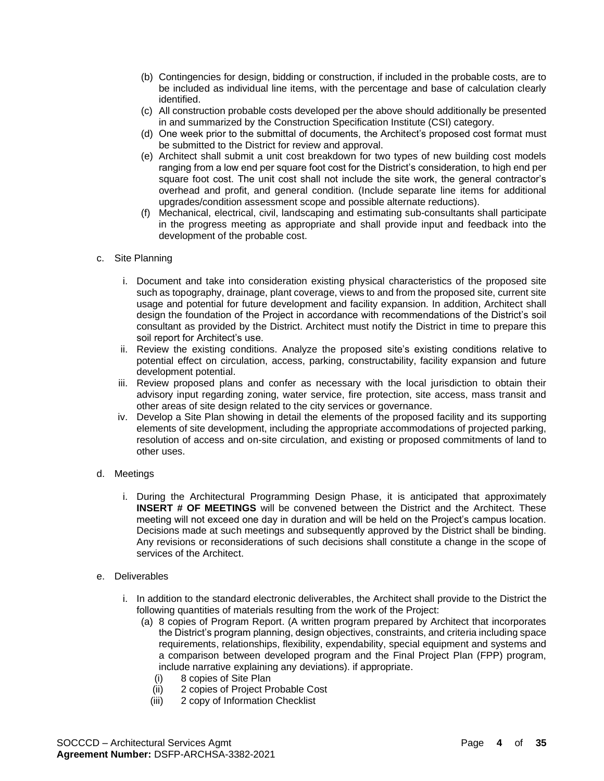- (b) Contingencies for design, bidding or construction, if included in the probable costs, are to be included as individual line items, with the percentage and base of calculation clearly identified.
- (c) All construction probable costs developed per the above should additionally be presented in and summarized by the Construction Specification Institute (CSI) category.
- (d) One week prior to the submittal of documents, the Architect's proposed cost format must be submitted to the District for review and approval.
- (e) Architect shall submit a unit cost breakdown for two types of new building cost models ranging from a low end per square foot cost for the District's consideration, to high end per square foot cost. The unit cost shall not include the site work, the general contractor's overhead and profit, and general condition. (Include separate line items for additional upgrades/condition assessment scope and possible alternate reductions).
- (f) Mechanical, electrical, civil, landscaping and estimating sub-consultants shall participate in the progress meeting as appropriate and shall provide input and feedback into the development of the probable cost.

### c. Site Planning

- i. Document and take into consideration existing physical characteristics of the proposed site such as topography, drainage, plant coverage, views to and from the proposed site, current site usage and potential for future development and facility expansion. In addition, Architect shall design the foundation of the Project in accordance with recommendations of the District's soil consultant as provided by the District. Architect must notify the District in time to prepare this soil report for Architect's use.
- ii. Review the existing conditions. Analyze the proposed site's existing conditions relative to potential effect on circulation, access, parking, constructability, facility expansion and future development potential.
- iii. Review proposed plans and confer as necessary with the local jurisdiction to obtain their advisory input regarding zoning, water service, fire protection, site access, mass transit and other areas of site design related to the city services or governance.
- iv. Develop a Site Plan showing in detail the elements of the proposed facility and its supporting elements of site development, including the appropriate accommodations of projected parking, resolution of access and on-site circulation, and existing or proposed commitments of land to other uses.
- d. Meetings
	- i. During the Architectural Programming Design Phase, it is anticipated that approximately **INSERT # OF MEETINGS** will be convened between the District and the Architect. These meeting will not exceed one day in duration and will be held on the Project's campus location. Decisions made at such meetings and subsequently approved by the District shall be binding. Any revisions or reconsiderations of such decisions shall constitute a change in the scope of services of the Architect.

#### e. Deliverables

- i. In addition to the standard electronic deliverables, the Architect shall provide to the District the following quantities of materials resulting from the work of the Project:
	- (a) 8 copies of Program Report. (A written program prepared by Architect that incorporates the District's program planning, design objectives, constraints, and criteria including space requirements, relationships, flexibility, expendability, special equipment and systems and a comparison between developed program and the Final Project Plan (FPP) program, include narrative explaining any deviations). if appropriate.
		- (i) 8 copies of Site Plan
		- (ii) 2 copies of Project Probable Cost
		- (iii) 2 copy of Information Checklist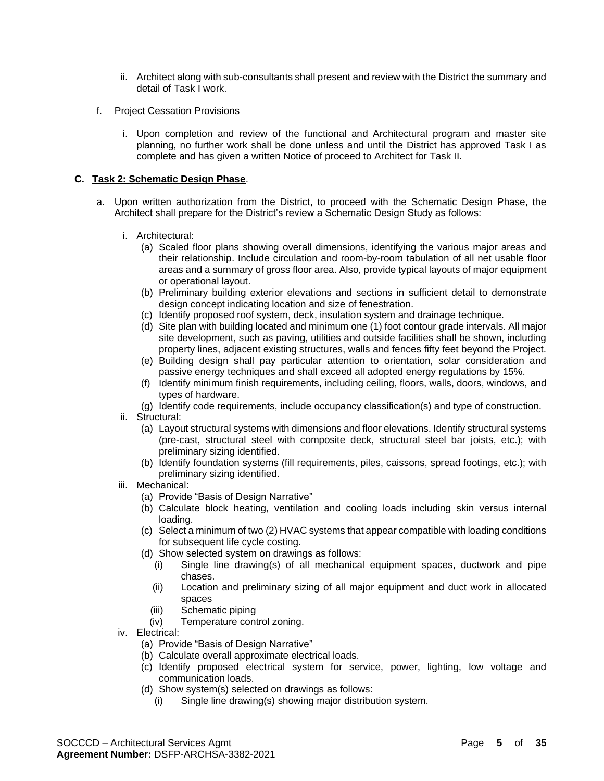- ii. Architect along with sub-consultants shall present and review with the District the summary and detail of Task I work.
- f. Project Cessation Provisions
	- i. Upon completion and review of the functional and Architectural program and master site planning, no further work shall be done unless and until the District has approved Task I as complete and has given a written Notice of proceed to Architect for Task II.

# **C. Task 2: Schematic Design Phase**.

- a. Upon written authorization from the District, to proceed with the Schematic Design Phase, the Architect shall prepare for the District's review a Schematic Design Study as follows:
	- i. Architectural:
		- (a) Scaled floor plans showing overall dimensions, identifying the various major areas and their relationship. Include circulation and room-by-room tabulation of all net usable floor areas and a summary of gross floor area. Also, provide typical layouts of major equipment or operational layout.
		- (b) Preliminary building exterior elevations and sections in sufficient detail to demonstrate design concept indicating location and size of fenestration.
		- (c) Identify proposed roof system, deck, insulation system and drainage technique.
		- (d) Site plan with building located and minimum one (1) foot contour grade intervals. All major site development, such as paving, utilities and outside facilities shall be shown, including property lines, adjacent existing structures, walls and fences fifty feet beyond the Project.
		- (e) Building design shall pay particular attention to orientation, solar consideration and passive energy techniques and shall exceed all adopted energy regulations by 15%.
		- (f) Identify minimum finish requirements, including ceiling, floors, walls, doors, windows, and types of hardware.
		- (g) Identify code requirements, include occupancy classification(s) and type of construction.
	- ii. Structural:
		- (a) Layout structural systems with dimensions and floor elevations. Identify structural systems (pre-cast, structural steel with composite deck, structural steel bar joists, etc.); with preliminary sizing identified.
		- (b) Identify foundation systems (fill requirements, piles, caissons, spread footings, etc.); with preliminary sizing identified.
	- iii. Mechanical:
		- (a) Provide "Basis of Design Narrative"
		- (b) Calculate block heating, ventilation and cooling loads including skin versus internal loading.
		- (c) Select a minimum of two (2) HVAC systems that appear compatible with loading conditions for subsequent life cycle costing.
		- (d) Show selected system on drawings as follows:
			- (i) Single line drawing(s) of all mechanical equipment spaces, ductwork and pipe chases.
			- (ii) Location and preliminary sizing of all major equipment and duct work in allocated spaces
			- (iii) Schematic piping
		- (iv) Temperature control zoning.
	- iv. Electrical:
		- (a) Provide "Basis of Design Narrative"
		- (b) Calculate overall approximate electrical loads.
		- (c) Identify proposed electrical system for service, power, lighting, low voltage and communication loads.
		- (d) Show system(s) selected on drawings as follows:
			- (i) Single line drawing(s) showing major distribution system.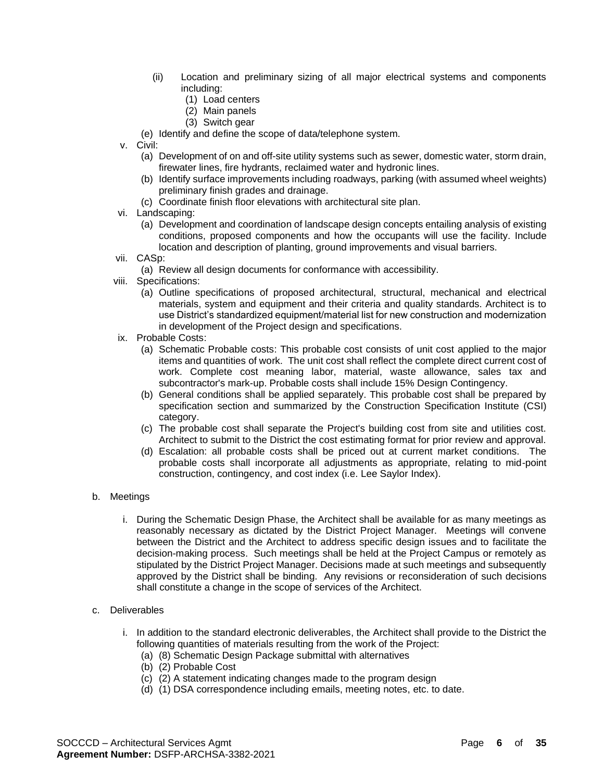- (ii) Location and preliminary sizing of all major electrical systems and components including:
	- (1) Load centers
	- (2) Main panels
	- (3) Switch gear
- (e) Identify and define the scope of data/telephone system.
- v. Civil:
	- (a) Development of on and off-site utility systems such as sewer, domestic water, storm drain, firewater lines, fire hydrants, reclaimed water and hydronic lines.
	- (b) Identify surface improvements including roadways, parking (with assumed wheel weights) preliminary finish grades and drainage.
	- (c) Coordinate finish floor elevations with architectural site plan.
- vi. Landscaping:
	- (a) Development and coordination of landscape design concepts entailing analysis of existing conditions, proposed components and how the occupants will use the facility. Include location and description of planting, ground improvements and visual barriers.
- vii. CASp:
	- (a) Review all design documents for conformance with accessibility.
- viii. Specifications:
	- (a) Outline specifications of proposed architectural, structural, mechanical and electrical materials, system and equipment and their criteria and quality standards. Architect is to use District's standardized equipment/material list for new construction and modernization in development of the Project design and specifications.
- ix. Probable Costs:
	- (a) Schematic Probable costs: This probable cost consists of unit cost applied to the major items and quantities of work. The unit cost shall reflect the complete direct current cost of work. Complete cost meaning labor, material, waste allowance, sales tax and subcontractor's mark-up. Probable costs shall include 15% Design Contingency.
	- (b) General conditions shall be applied separately. This probable cost shall be prepared by specification section and summarized by the Construction Specification Institute (CSI) category.
	- (c) The probable cost shall separate the Project's building cost from site and utilities cost. Architect to submit to the District the cost estimating format for prior review and approval.
	- (d) Escalation: all probable costs shall be priced out at current market conditions. The probable costs shall incorporate all adjustments as appropriate, relating to mid-point construction, contingency, and cost index (i.e. Lee Saylor Index).
- b. Meetings
	- i. During the Schematic Design Phase, the Architect shall be available for as many meetings as reasonably necessary as dictated by the District Project Manager. Meetings will convene between the District and the Architect to address specific design issues and to facilitate the decision-making process. Such meetings shall be held at the Project Campus or remotely as stipulated by the District Project Manager. Decisions made at such meetings and subsequently approved by the District shall be binding. Any revisions or reconsideration of such decisions shall constitute a change in the scope of services of the Architect.
- c. Deliverables
	- i. In addition to the standard electronic deliverables, the Architect shall provide to the District the following quantities of materials resulting from the work of the Project:
		- (a) (8) Schematic Design Package submittal with alternatives
		- (b) (2) Probable Cost
		- (c) (2) A statement indicating changes made to the program design
		- (d) (1) DSA correspondence including emails, meeting notes, etc. to date.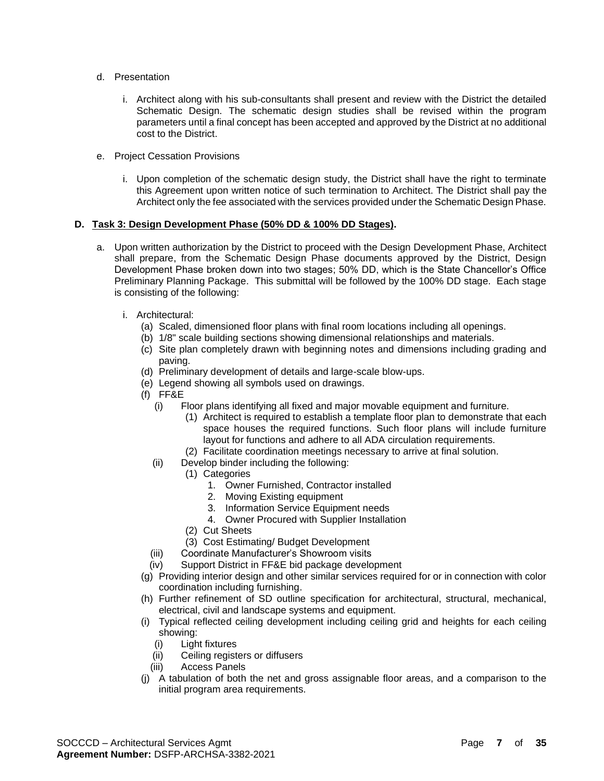- d. Presentation
	- i. Architect along with his sub-consultants shall present and review with the District the detailed Schematic Design. The schematic design studies shall be revised within the program parameters until a final concept has been accepted and approved by the District at no additional cost to the District.
- e. Project Cessation Provisions
	- i. Upon completion of the schematic design study, the District shall have the right to terminate this Agreement upon written notice of such termination to Architect. The District shall pay the Architect only the fee associated with the services provided under the Schematic Design Phase.

### **D. Task 3: Design Development Phase (50% DD & 100% DD Stages).**

- a. Upon written authorization by the District to proceed with the Design Development Phase, Architect shall prepare, from the Schematic Design Phase documents approved by the District, Design Development Phase broken down into two stages; 50% DD, which is the State Chancellor's Office Preliminary Planning Package. This submittal will be followed by the 100% DD stage. Each stage is consisting of the following:
	- i. Architectural:
		- (a) Scaled, dimensioned floor plans with final room locations including all openings.
		- (b) 1/8" scale building sections showing dimensional relationships and materials.
		- (c) Site plan completely drawn with beginning notes and dimensions including grading and paving.
		- (d) Preliminary development of details and large-scale blow-ups.
		- (e) Legend showing all symbols used on drawings.
		- (f) FF&E
			- (i) Floor plans identifying all fixed and major movable equipment and furniture.
				- (1) Architect is required to establish a template floor plan to demonstrate that each space houses the required functions. Such floor plans will include furniture layout for functions and adhere to all ADA circulation requirements.
				- (2) Facilitate coordination meetings necessary to arrive at final solution.
			- (ii) Develop binder including the following:
				- (1) Categories
					- 1. Owner Furnished, Contractor installed
					- 2. Moving Existing equipment
					- 3. Information Service Equipment needs
					- 4. Owner Procured with Supplier Installation
				- (2) Cut Sheets
				- (3) Cost Estimating/ Budget Development
			- (iii) Coordinate Manufacturer's Showroom visits
			- (iv) Support District in FF&E bid package development
		- (g) Providing interior design and other similar services required for or in connection with color coordination including furnishing.
		- (h) Further refinement of SD outline specification for architectural, structural, mechanical, electrical, civil and landscape systems and equipment.
		- (i) Typical reflected ceiling development including ceiling grid and heights for each ceiling showing:
			- (i) Light fixtures
			- (ii) Ceiling registers or diffusers
			- (iii) Access Panels
		- (j) A tabulation of both the net and gross assignable floor areas, and a comparison to the initial program area requirements.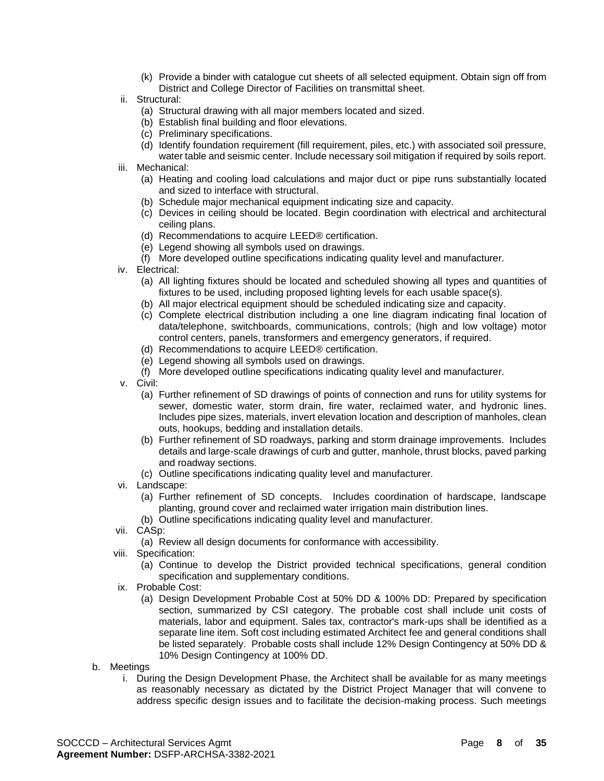- (k) Provide a binder with catalogue cut sheets of all selected equipment. Obtain sign off from District and College Director of Facilities on transmittal sheet.
- ii. Structural:
	- (a) Structural drawing with all major members located and sized.
	- (b) Establish final building and floor elevations.
	- (c) Preliminary specifications.
	- (d) Identify foundation requirement (fill requirement, piles, etc.) with associated soil pressure, water table and seismic center. Include necessary soil mitigation if required by soils report.
- iii. Mechanical:
	- (a) Heating and cooling load calculations and major duct or pipe runs substantially located and sized to interface with structural.
	- (b) Schedule major mechanical equipment indicating size and capacity.
	- (c) Devices in ceiling should be located. Begin coordination with electrical and architectural ceiling plans.
	- (d) Recommendations to acquire LEED® certification.
	- (e) Legend showing all symbols used on drawings.
	- (f) More developed outline specifications indicating quality level and manufacturer.
- iv. Electrical:
	- (a) All lighting fixtures should be located and scheduled showing all types and quantities of fixtures to be used, including proposed lighting levels for each usable space(s).
	- (b) All major electrical equipment should be scheduled indicating size and capacity.
	- (c) Complete electrical distribution including a one line diagram indicating final location of data/telephone, switchboards, communications, controls; (high and low voltage) motor control centers, panels, transformers and emergency generators, if required.
	- (d) Recommendations to acquire LEED® certification.
	- (e) Legend showing all symbols used on drawings.
	- (f) More developed outline specifications indicating quality level and manufacturer.
- v. Civil:
	- (a) Further refinement of SD drawings of points of connection and runs for utility systems for sewer, domestic water, storm drain, fire water, reclaimed water, and hydronic lines. Includes pipe sizes, materials, invert elevation location and description of manholes, clean outs, hookups, bedding and installation details.
	- (b) Further refinement of SD roadways, parking and storm drainage improvements. Includes details and large-scale drawings of curb and gutter, manhole, thrust blocks, paved parking and roadway sections.
	- (c) Outline specifications indicating quality level and manufacturer.
- vi. Landscape:
	- (a) Further refinement of SD concepts. Includes coordination of hardscape, landscape planting, ground cover and reclaimed water irrigation main distribution lines.
	- (b) Outline specifications indicating quality level and manufacturer.
- vii. CASp:
	- (a) Review all design documents for conformance with accessibility.
- viii. Specification:
	- (a) Continue to develop the District provided technical specifications, general condition specification and supplementary conditions.
- ix. Probable Cost:
	- (a) Design Development Probable Cost at 50% DD & 100% DD: Prepared by specification section, summarized by CSI category. The probable cost shall include unit costs of materials, labor and equipment. Sales tax, contractor's mark-ups shall be identified as a separate line item. Soft cost including estimated Architect fee and general conditions shall be listed separately. Probable costs shall include 12% Design Contingency at 50% DD & 10% Design Contingency at 100% DD.
- b. Meetings
	- i. During the Design Development Phase, the Architect shall be available for as many meetings as reasonably necessary as dictated by the District Project Manager that will convene to address specific design issues and to facilitate the decision-making process. Such meetings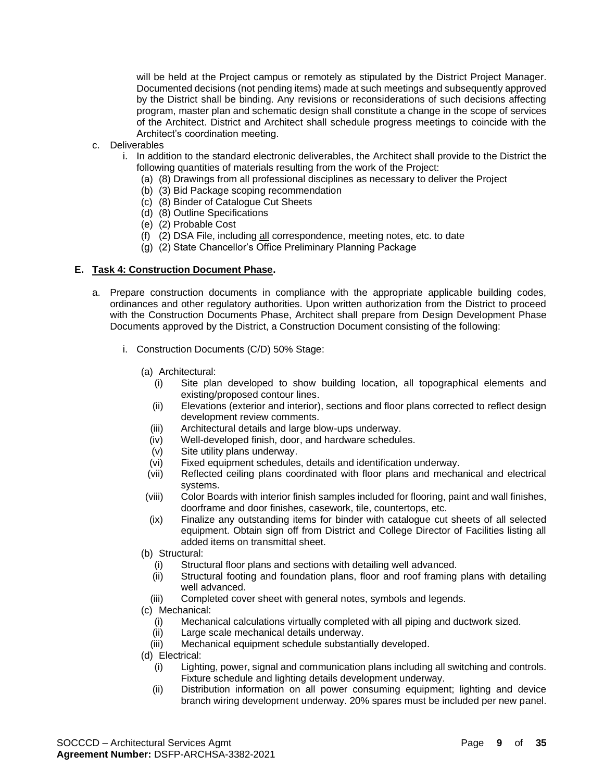will be held at the Project campus or remotely as stipulated by the District Project Manager. Documented decisions (not pending items) made at such meetings and subsequently approved by the District shall be binding. Any revisions or reconsiderations of such decisions affecting program, master plan and schematic design shall constitute a change in the scope of services of the Architect. District and Architect shall schedule progress meetings to coincide with the Architect's coordination meeting.

- c. Deliverables
	- i. In addition to the standard electronic deliverables, the Architect shall provide to the District the following quantities of materials resulting from the work of the Project:
		- (a) (8) Drawings from all professional disciplines as necessary to deliver the Project
		- (b) (3) Bid Package scoping recommendation
		- (c) (8) Binder of Catalogue Cut Sheets
		- (d) (8) Outline Specifications
		- (e) (2) Probable Cost
		- (f) (2) DSA File, including all correspondence, meeting notes, etc. to date
		- (g) (2) State Chancellor's Office Preliminary Planning Package

### **E. Task 4: Construction Document Phase.**

- a. Prepare construction documents in compliance with the appropriate applicable building codes, ordinances and other regulatory authorities. Upon written authorization from the District to proceed with the Construction Documents Phase, Architect shall prepare from Design Development Phase Documents approved by the District, a Construction Document consisting of the following:
	- i. Construction Documents (C/D) 50% Stage:
		- (a) Architectural:
			- (i) Site plan developed to show building location, all topographical elements and existing/proposed contour lines.
			- (ii) Elevations (exterior and interior), sections and floor plans corrected to reflect design development review comments.
			- (iii) Architectural details and large blow-ups underway.
			- (iv) Well-developed finish, door, and hardware schedules.
			- (v) Site utility plans underway.
			- (vi) Fixed equipment schedules, details and identification underway.
		- (vii) Reflected ceiling plans coordinated with floor plans and mechanical and electrical systems.
		- (viii) Color Boards with interior finish samples included for flooring, paint and wall finishes, doorframe and door finishes, casework, tile, countertops, etc.
		- (ix) Finalize any outstanding items for binder with catalogue cut sheets of all selected equipment. Obtain sign off from District and College Director of Facilities listing all added items on transmittal sheet.
		- (b) Structural:
			- (i) Structural floor plans and sections with detailing well advanced.
			- (ii) Structural footing and foundation plans, floor and roof framing plans with detailing well advanced.
			- (iii) Completed cover sheet with general notes, symbols and legends.
		- (c) Mechanical:
			- (i) Mechanical calculations virtually completed with all piping and ductwork sized.
			- (ii) Large scale mechanical details underway.
			- (iii) Mechanical equipment schedule substantially developed.
		- (d) Electrical:
			- (i) Lighting, power, signal and communication plans including all switching and controls. Fixture schedule and lighting details development underway.
			- (ii) Distribution information on all power consuming equipment; lighting and device branch wiring development underway. 20% spares must be included per new panel.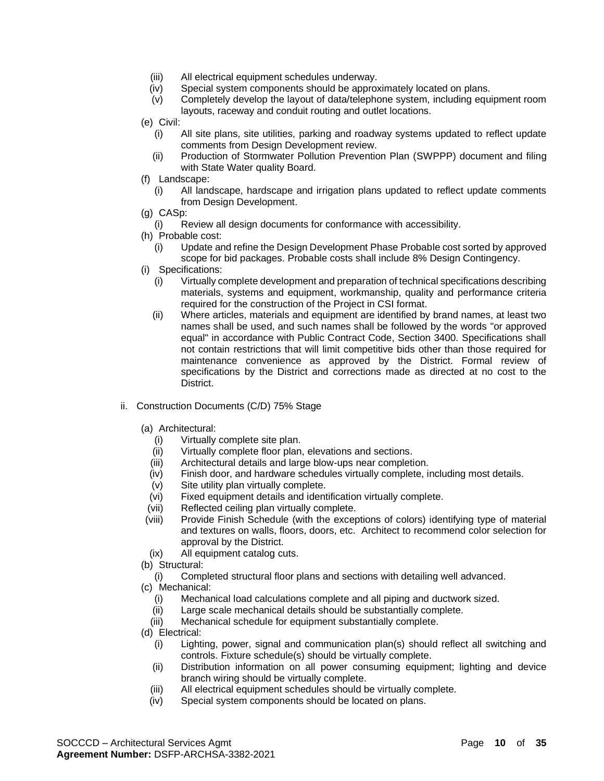- (iii) All electrical equipment schedules underway.
- (iv) Special system components should be approximately located on plans.
- (v) Completely develop the layout of data/telephone system, including equipment room layouts, raceway and conduit routing and outlet locations.
- (e) Civil:
	- (i) All site plans, site utilities, parking and roadway systems updated to reflect update comments from Design Development review.
	- (ii) Production of Stormwater Pollution Prevention Plan (SWPPP) document and filing with State Water quality Board.
- (f) Landscape:
	- (i) All landscape, hardscape and irrigation plans updated to reflect update comments from Design Development.
- (g) CASp:
	- (i) Review all design documents for conformance with accessibility.
- (h) Probable cost:
	- (i) Update and refine the Design Development Phase Probable cost sorted by approved scope for bid packages. Probable costs shall include 8% Design Contingency.
- (i) Specifications:
	- (i) Virtually complete development and preparation of technical specifications describing materials, systems and equipment, workmanship, quality and performance criteria required for the construction of the Project in CSI format.
	- (ii) Where articles, materials and equipment are identified by brand names, at least two names shall be used, and such names shall be followed by the words "or approved equal" in accordance with Public Contract Code, Section 3400. Specifications shall not contain restrictions that will limit competitive bids other than those required for maintenance convenience as approved by the District. Formal review of specifications by the District and corrections made as directed at no cost to the District.
- ii. Construction Documents (C/D) 75% Stage
	- (a) Architectural:
		- (i) Virtually complete site plan.
		- (ii) Virtually complete floor plan, elevations and sections.
		- (iii) Architectural details and large blow-ups near completion.
		- (iv) Finish door, and hardware schedules virtually complete, including most details.
		- (v) Site utility plan virtually complete.
		- (vi) Fixed equipment details and identification virtually complete.
	- (vii) Reflected ceiling plan virtually complete.
	- (viii) Provide Finish Schedule (with the exceptions of colors) identifying type of material and textures on walls, floors, doors, etc. Architect to recommend color selection for approval by the District.
	- (ix) All equipment catalog cuts.
	- (b) Structural:
		- (i) Completed structural floor plans and sections with detailing well advanced.
	- (c) Mechanical:
		- (i) Mechanical load calculations complete and all piping and ductwork sized.
		- (ii) Large scale mechanical details should be substantially complete.
		- (iii) Mechanical schedule for equipment substantially complete.
	- (d) Electrical:
		- (i) Lighting, power, signal and communication plan(s) should reflect all switching and controls. Fixture schedule(s) should be virtually complete.
		- (ii) Distribution information on all power consuming equipment; lighting and device branch wiring should be virtually complete.
		- (iii) All electrical equipment schedules should be virtually complete.
		- (iv) Special system components should be located on plans.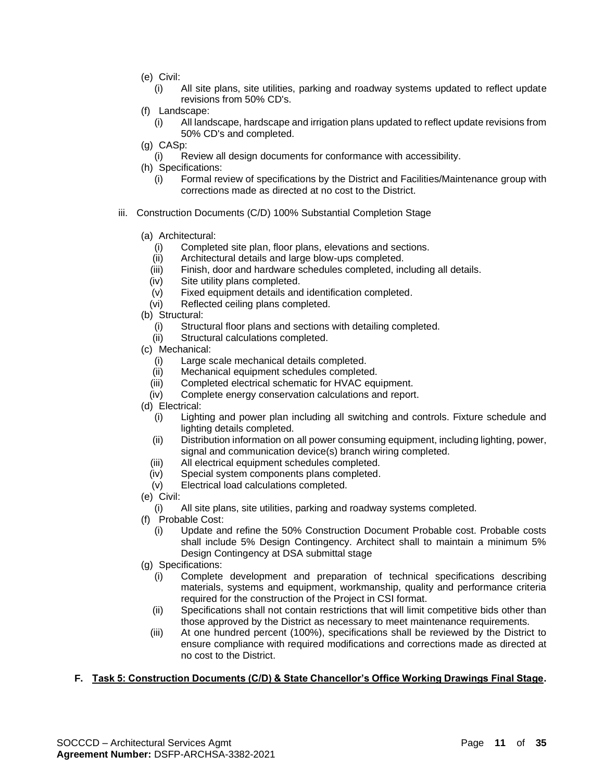- (e) Civil:
	- (i) All site plans, site utilities, parking and roadway systems updated to reflect update revisions from 50% CD's.
- (f) Landscape:
	- (i) All landscape, hardscape and irrigation plans updated to reflect update revisions from 50% CD's and completed.
- (g) CASp:
	- (i) Review all design documents for conformance with accessibility.
- (h) Specifications:
	- (i) Formal review of specifications by the District and Facilities/Maintenance group with corrections made as directed at no cost to the District.
- iii. Construction Documents (C/D) 100% Substantial Completion Stage
	- (a) Architectural:
		- (i) Completed site plan, floor plans, elevations and sections.
		- (ii) Architectural details and large blow-ups completed.
		- (iii) Finish, door and hardware schedules completed, including all details.
		- (iv) Site utility plans completed.
		- (v) Fixed equipment details and identification completed.
		- (vi) Reflected ceiling plans completed.
	- (b) Structural:
		- (i) Structural floor plans and sections with detailing completed.
		- (ii) Structural calculations completed.
	- (c) Mechanical:
		- (i) Large scale mechanical details completed.
		- (ii) Mechanical equipment schedules completed.
		- (iii) Completed electrical schematic for HVAC equipment.
		- (iv) Complete energy conservation calculations and report.
	- (d) Electrical:
		- (i) Lighting and power plan including all switching and controls. Fixture schedule and lighting details completed.
		- (ii) Distribution information on all power consuming equipment, including lighting, power, signal and communication device(s) branch wiring completed.
		- (iii) All electrical equipment schedules completed.
		- (iv) Special system components plans completed.
		- (v) Electrical load calculations completed.
	- (e) Civil:
		- (i) All site plans, site utilities, parking and roadway systems completed.
	- (f) Probable Cost:
		- (i) Update and refine the 50% Construction Document Probable cost. Probable costs shall include 5% Design Contingency. Architect shall to maintain a minimum 5% Design Contingency at DSA submittal stage
	- (g) Specifications:
		- (i) Complete development and preparation of technical specifications describing materials, systems and equipment, workmanship, quality and performance criteria required for the construction of the Project in CSI format.
		- (ii) Specifications shall not contain restrictions that will limit competitive bids other than those approved by the District as necessary to meet maintenance requirements.
		- (iii) At one hundred percent (100%), specifications shall be reviewed by the District to ensure compliance with required modifications and corrections made as directed at no cost to the District.

# **F. Task 5: Construction Documents (C/D) & State Chancellor's Office Working Drawings Final Stage.**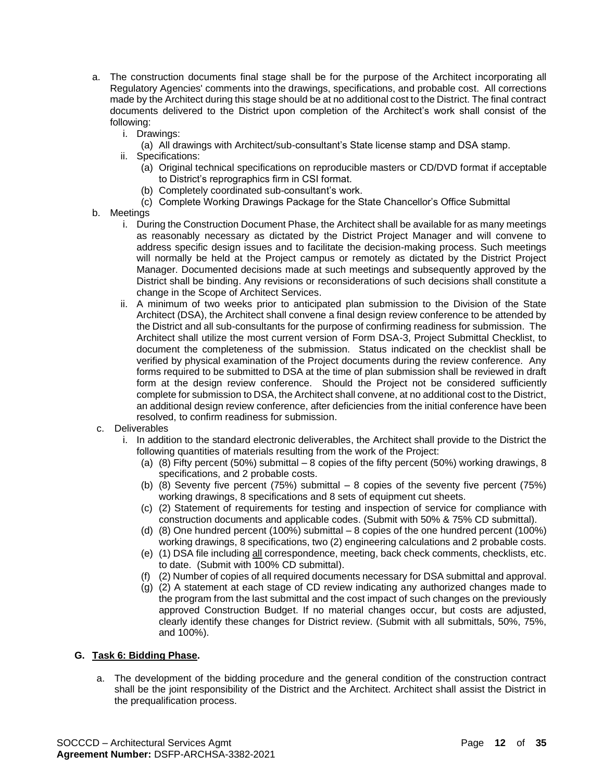- a. The construction documents final stage shall be for the purpose of the Architect incorporating all Regulatory Agencies' comments into the drawings, specifications, and probable cost. All corrections made by the Architect during this stage should be at no additional cost to the District. The final contract documents delivered to the District upon completion of the Architect's work shall consist of the following:
	- i. Drawings:
		- (a) All drawings with Architect/sub-consultant's State license stamp and DSA stamp.
	- ii. Specifications:
		- (a) Original technical specifications on reproducible masters or CD/DVD format if acceptable to District's reprographics firm in CSI format.
		- (b) Completely coordinated sub-consultant's work.
		- (c) Complete Working Drawings Package for the State Chancellor's Office Submittal
- b. Meetings
	- i. During the Construction Document Phase, the Architect shall be available for as many meetings as reasonably necessary as dictated by the District Project Manager and will convene to address specific design issues and to facilitate the decision-making process. Such meetings will normally be held at the Project campus or remotely as dictated by the District Project Manager. Documented decisions made at such meetings and subsequently approved by the District shall be binding. Any revisions or reconsiderations of such decisions shall constitute a change in the Scope of Architect Services.
	- ii. A minimum of two weeks prior to anticipated plan submission to the Division of the State Architect (DSA), the Architect shall convene a final design review conference to be attended by the District and all sub-consultants for the purpose of confirming readiness for submission. The Architect shall utilize the most current version of Form DSA-3, Project Submittal Checklist, to document the completeness of the submission. Status indicated on the checklist shall be verified by physical examination of the Project documents during the review conference. Any forms required to be submitted to DSA at the time of plan submission shall be reviewed in draft form at the design review conference. Should the Project not be considered sufficiently complete for submission to DSA, the Architect shall convene, at no additional cost to the District, an additional design review conference, after deficiencies from the initial conference have been resolved, to confirm readiness for submission.
- c. Deliverables
	- i. In addition to the standard electronic deliverables, the Architect shall provide to the District the following quantities of materials resulting from the work of the Project:
		- (a) (8) Fifty percent (50%) submittal  $-8$  copies of the fifty percent (50%) working drawings, 8 specifications, and 2 probable costs.
		- (b) (8) Seventy five percent  $(75%)$  submittal  $-8$  copies of the seventy five percent  $(75%)$ working drawings, 8 specifications and 8 sets of equipment cut sheets.
		- (c) (2) Statement of requirements for testing and inspection of service for compliance with construction documents and applicable codes. (Submit with 50% & 75% CD submittal).
		- (d) (8) One hundred percent (100%) submittal 8 copies of the one hundred percent (100%) working drawings, 8 specifications, two (2) engineering calculations and 2 probable costs.
		- (e) (1) DSA file including all correspondence, meeting, back check comments, checklists, etc. to date. (Submit with 100% CD submittal).
		- (f) (2) Number of copies of all required documents necessary for DSA submittal and approval.
		- (g) (2) A statement at each stage of CD review indicating any authorized changes made to the program from the last submittal and the cost impact of such changes on the previously approved Construction Budget. If no material changes occur, but costs are adjusted, clearly identify these changes for District review. (Submit with all submittals, 50%, 75%, and 100%).

# **G. Task 6: Bidding Phase.**

a. The development of the bidding procedure and the general condition of the construction contract shall be the joint responsibility of the District and the Architect. Architect shall assist the District in the prequalification process.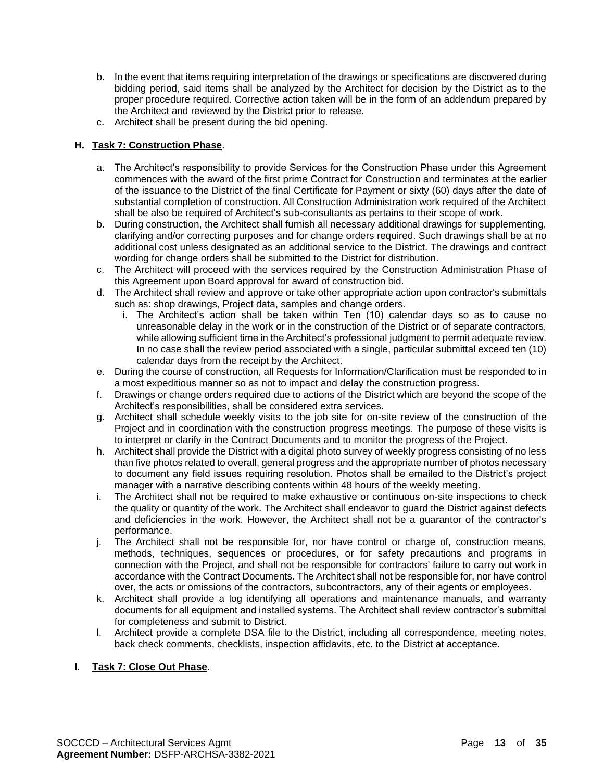- b. In the event that items requiring interpretation of the drawings or specifications are discovered during bidding period, said items shall be analyzed by the Architect for decision by the District as to the proper procedure required. Corrective action taken will be in the form of an addendum prepared by the Architect and reviewed by the District prior to release.
- c. Architect shall be present during the bid opening.

# **H. Task 7: Construction Phase**.

- a. The Architect's responsibility to provide Services for the Construction Phase under this Agreement commences with the award of the first prime Contract for Construction and terminates at the earlier of the issuance to the District of the final Certificate for Payment or sixty (60) days after the date of substantial completion of construction. All Construction Administration work required of the Architect shall be also be required of Architect's sub-consultants as pertains to their scope of work.
- b. During construction, the Architect shall furnish all necessary additional drawings for supplementing, clarifying and/or correcting purposes and for change orders required. Such drawings shall be at no additional cost unless designated as an additional service to the District. The drawings and contract wording for change orders shall be submitted to the District for distribution.
- c. The Architect will proceed with the services required by the Construction Administration Phase of this Agreement upon Board approval for award of construction bid.
- d. The Architect shall review and approve or take other appropriate action upon contractor's submittals such as: shop drawings, Project data, samples and change orders.
	- i. The Architect's action shall be taken within Ten (10) calendar days so as to cause no unreasonable delay in the work or in the construction of the District or of separate contractors, while allowing sufficient time in the Architect's professional judgment to permit adequate review. In no case shall the review period associated with a single, particular submittal exceed ten (10) calendar days from the receipt by the Architect.
- e. During the course of construction, all Requests for Information/Clarification must be responded to in a most expeditious manner so as not to impact and delay the construction progress.
- f. Drawings or change orders required due to actions of the District which are beyond the scope of the Architect's responsibilities, shall be considered extra services.
- g. Architect shall schedule weekly visits to the job site for on-site review of the construction of the Project and in coordination with the construction progress meetings. The purpose of these visits is to interpret or clarify in the Contract Documents and to monitor the progress of the Project.
- h. Architect shall provide the District with a digital photo survey of weekly progress consisting of no less than five photos related to overall, general progress and the appropriate number of photos necessary to document any field issues requiring resolution. Photos shall be emailed to the District's project manager with a narrative describing contents within 48 hours of the weekly meeting.
- i. The Architect shall not be required to make exhaustive or continuous on-site inspections to check the quality or quantity of the work. The Architect shall endeavor to guard the District against defects and deficiencies in the work. However, the Architect shall not be a guarantor of the contractor's performance.
- j. The Architect shall not be responsible for, nor have control or charge of, construction means, methods, techniques, sequences or procedures, or for safety precautions and programs in connection with the Project, and shall not be responsible for contractors' failure to carry out work in accordance with the Contract Documents. The Architect shall not be responsible for, nor have control over, the acts or omissions of the contractors, subcontractors, any of their agents or employees.
- k. Architect shall provide a log identifying all operations and maintenance manuals, and warranty documents for all equipment and installed systems. The Architect shall review contractor's submittal for completeness and submit to District.
- l. Architect provide a complete DSA file to the District, including all correspondence, meeting notes, back check comments, checklists, inspection affidavits, etc. to the District at acceptance.

# **I. Task 7: Close Out Phase.**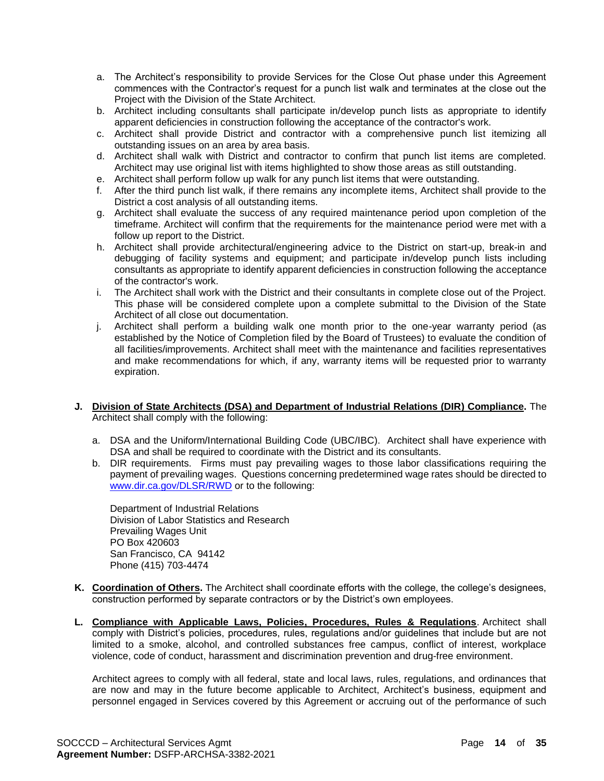- a. The Architect's responsibility to provide Services for the Close Out phase under this Agreement commences with the Contractor's request for a punch list walk and terminates at the close out the Project with the Division of the State Architect.
- b. Architect including consultants shall participate in/develop punch lists as appropriate to identify apparent deficiencies in construction following the acceptance of the contractor's work.
- c. Architect shall provide District and contractor with a comprehensive punch list itemizing all outstanding issues on an area by area basis.
- d. Architect shall walk with District and contractor to confirm that punch list items are completed. Architect may use original list with items highlighted to show those areas as still outstanding.
- e. Architect shall perform follow up walk for any punch list items that were outstanding.
- f. After the third punch list walk, if there remains any incomplete items, Architect shall provide to the District a cost analysis of all outstanding items.
- g. Architect shall evaluate the success of any required maintenance period upon completion of the timeframe. Architect will confirm that the requirements for the maintenance period were met with a follow up report to the District.
- h. Architect shall provide architectural/engineering advice to the District on start-up, break-in and debugging of facility systems and equipment; and participate in/develop punch lists including consultants as appropriate to identify apparent deficiencies in construction following the acceptance of the contractor's work.
- i. The Architect shall work with the District and their consultants in complete close out of the Project. This phase will be considered complete upon a complete submittal to the Division of the State Architect of all close out documentation.
- j. Architect shall perform a building walk one month prior to the one-year warranty period (as established by the Notice of Completion filed by the Board of Trustees) to evaluate the condition of all facilities/improvements. Architect shall meet with the maintenance and facilities representatives and make recommendations for which, if any, warranty items will be requested prior to warranty expiration.
- **J. Division of State Architects (DSA) and Department of Industrial Relations (DIR) Compliance.** The Architect shall comply with the following:
	- a. DSA and the Uniform/International Building Code (UBC/IBC). Architect shall have experience with DSA and shall be required to coordinate with the District and its consultants.
	- b. DIR requirements. Firms must pay prevailing wages to those labor classifications requiring the payment of prevailing wages. Questions concerning predetermined wage rates should be directed to [www.dir.ca.gov/DLSR/RWD](http://www.dir.ca.gov/DLSR/RWD) or to the following:

Department of Industrial Relations Division of Labor Statistics and Research Prevailing Wages Unit PO Box 420603 San Francisco, CA 94142 Phone (415) 703-4474

- **K. Coordination of Others.** The Architect shall coordinate efforts with the college, the college's designees, construction performed by separate contractors or by the District's own employees.
- **L. Compliance with Applicable Laws, Policies, Procedures, Rules & Regulations**. Architect shall comply with District's policies, procedures, rules, regulations and/or guidelines that include but are not limited to a smoke, alcohol, and controlled substances free campus, conflict of interest, workplace violence, code of conduct, harassment and discrimination prevention and drug-free environment.

Architect agrees to comply with all federal, state and local laws, rules, regulations, and ordinances that are now and may in the future become applicable to Architect, Architect's business, equipment and personnel engaged in Services covered by this Agreement or accruing out of the performance of such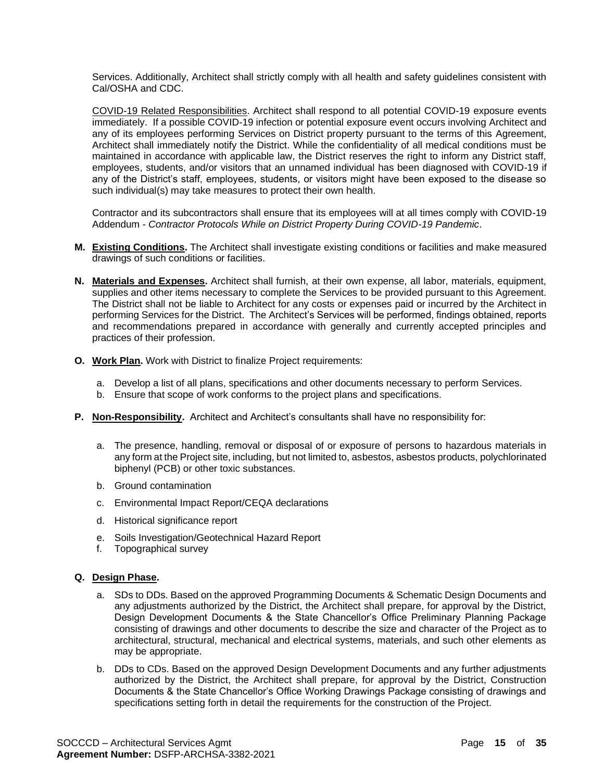Services. Additionally, Architect shall strictly comply with all health and safety guidelines consistent with Cal/OSHA and CDC.

COVID-19 Related Responsibilities. Architect shall respond to all potential COVID-19 exposure events immediately. If a possible COVID-19 infection or potential exposure event occurs involving Architect and any of its employees performing Services on District property pursuant to the terms of this Agreement, Architect shall immediately notify the District. While the confidentiality of all medical conditions must be maintained in accordance with applicable law, the District reserves the right to inform any District staff, employees, students, and/or visitors that an unnamed individual has been diagnosed with COVID-19 if any of the District's staff, employees, students, or visitors might have been exposed to the disease so such individual(s) may take measures to protect their own health.

Contractor and its subcontractors shall ensure that its employees will at all times comply with COVID-19 Addendum - *Contractor Protocols While on District Property During COVID-19 Pandemic*.

- **M. Existing Conditions.** The Architect shall investigate existing conditions or facilities and make measured drawings of such conditions or facilities.
- **N. Materials and Expenses.** Architect shall furnish, at their own expense, all labor, materials, equipment, supplies and other items necessary to complete the Services to be provided pursuant to this Agreement. The District shall not be liable to Architect for any costs or expenses paid or incurred by the Architect in performing Services for the District. The Architect's Services will be performed, findings obtained, reports and recommendations prepared in accordance with generally and currently accepted principles and practices of their profession.
- **O. Work Plan.** Work with District to finalize Project requirements:
	- a. Develop a list of all plans, specifications and other documents necessary to perform Services.
	- b. Ensure that scope of work conforms to the project plans and specifications.
- **P. Non-Responsibility.** Architect and Architect's consultants shall have no responsibility for:
	- a. The presence, handling, removal or disposal of or exposure of persons to hazardous materials in any form at the Project site, including, but not limited to, asbestos, asbestos products, polychlorinated biphenyl (PCB) or other toxic substances.
	- b. Ground contamination
	- c. Environmental Impact Report/CEQA declarations
	- d. Historical significance report
	- e. Soils Investigation/Geotechnical Hazard Report
	- f. Topographical survey

# **Q. Design Phase.**

- a. SDs to DDs. Based on the approved Programming Documents & Schematic Design Documents and any adjustments authorized by the District, the Architect shall prepare, for approval by the District, Design Development Documents & the State Chancellor's Office Preliminary Planning Package consisting of drawings and other documents to describe the size and character of the Project as to architectural, structural, mechanical and electrical systems, materials, and such other elements as may be appropriate.
- b. DDs to CDs. Based on the approved Design Development Documents and any further adjustments authorized by the District, the Architect shall prepare, for approval by the District, Construction Documents & the State Chancellor's Office Working Drawings Package consisting of drawings and specifications setting forth in detail the requirements for the construction of the Project.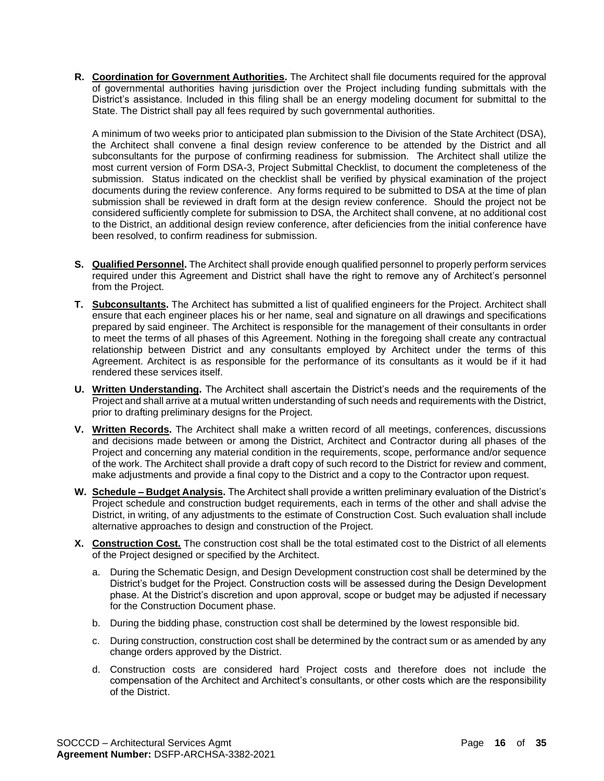**R. Coordination for Government Authorities.** The Architect shall file documents required for the approval of governmental authorities having jurisdiction over the Project including funding submittals with the District's assistance. Included in this filing shall be an energy modeling document for submittal to the State. The District shall pay all fees required by such governmental authorities.

A minimum of two weeks prior to anticipated plan submission to the Division of the State Architect (DSA), the Architect shall convene a final design review conference to be attended by the District and all subconsultants for the purpose of confirming readiness for submission. The Architect shall utilize the most current version of Form DSA-3, Project Submittal Checklist, to document the completeness of the submission. Status indicated on the checklist shall be verified by physical examination of the project documents during the review conference. Any forms required to be submitted to DSA at the time of plan submission shall be reviewed in draft form at the design review conference. Should the project not be considered sufficiently complete for submission to DSA, the Architect shall convene, at no additional cost to the District, an additional design review conference, after deficiencies from the initial conference have been resolved, to confirm readiness for submission.

- **S. Qualified Personnel.** The Architect shall provide enough qualified personnel to properly perform services required under this Agreement and District shall have the right to remove any of Architect's personnel from the Project.
- **T. Subconsultants.** The Architect has submitted a list of qualified engineers for the Project. Architect shall ensure that each engineer places his or her name, seal and signature on all drawings and specifications prepared by said engineer. The Architect is responsible for the management of their consultants in order to meet the terms of all phases of this Agreement. Nothing in the foregoing shall create any contractual relationship between District and any consultants employed by Architect under the terms of this Agreement. Architect is as responsible for the performance of its consultants as it would be if it had rendered these services itself.
- **U. Written Understanding.** The Architect shall ascertain the District's needs and the requirements of the Project and shall arrive at a mutual written understanding of such needs and requirements with the District, prior to drafting preliminary designs for the Project.
- **V. Written Records.** The Architect shall make a written record of all meetings, conferences, discussions and decisions made between or among the District, Architect and Contractor during all phases of the Project and concerning any material condition in the requirements, scope, performance and/or sequence of the work. The Architect shall provide a draft copy of such record to the District for review and comment, make adjustments and provide a final copy to the District and a copy to the Contractor upon request.
- **W. Schedule – Budget Analysis.** The Architect shall provide a written preliminary evaluation of the District's Project schedule and construction budget requirements, each in terms of the other and shall advise the District, in writing, of any adjustments to the estimate of Construction Cost. Such evaluation shall include alternative approaches to design and construction of the Project.
- **X. Construction Cost.** The construction cost shall be the total estimated cost to the District of all elements of the Project designed or specified by the Architect.
	- a. During the Schematic Design, and Design Development construction cost shall be determined by the District's budget for the Project. Construction costs will be assessed during the Design Development phase. At the District's discretion and upon approval, scope or budget may be adjusted if necessary for the Construction Document phase.
	- b. During the bidding phase, construction cost shall be determined by the lowest responsible bid.
	- c. During construction, construction cost shall be determined by the contract sum or as amended by any change orders approved by the District.
	- d. Construction costs are considered hard Project costs and therefore does not include the compensation of the Architect and Architect's consultants, or other costs which are the responsibility of the District.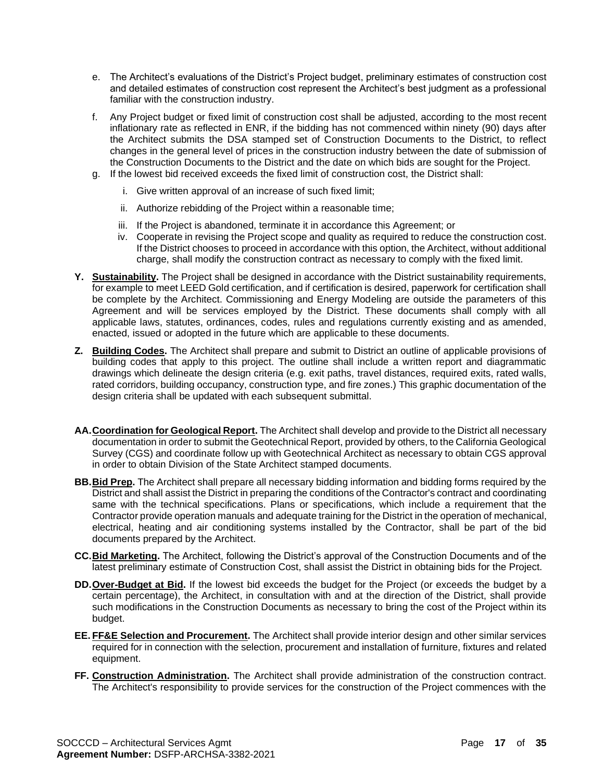- e. The Architect's evaluations of the District's Project budget, preliminary estimates of construction cost and detailed estimates of construction cost represent the Architect's best judgment as a professional familiar with the construction industry.
- f. Any Project budget or fixed limit of construction cost shall be adjusted, according to the most recent inflationary rate as reflected in ENR, if the bidding has not commenced within ninety (90) days after the Architect submits the DSA stamped set of Construction Documents to the District, to reflect changes in the general level of prices in the construction industry between the date of submission of the Construction Documents to the District and the date on which bids are sought for the Project.
- g. If the lowest bid received exceeds the fixed limit of construction cost, the District shall:
	- i. Give written approval of an increase of such fixed limit;
	- ii. Authorize rebidding of the Project within a reasonable time;
	- iii. If the Project is abandoned, terminate it in accordance this Agreement; or
	- iv. Cooperate in revising the Project scope and quality as required to reduce the construction cost. If the District chooses to proceed in accordance with this option, the Architect, without additional charge, shall modify the construction contract as necessary to comply with the fixed limit.
- **Y. Sustainability.** The Project shall be designed in accordance with the District sustainability requirements, for example to meet LEED Gold certification, and if certification is desired, paperwork for certification shall be complete by the Architect. Commissioning and Energy Modeling are outside the parameters of this Agreement and will be services employed by the District. These documents shall comply with all applicable laws, statutes, ordinances, codes, rules and regulations currently existing and as amended, enacted, issued or adopted in the future which are applicable to these documents.
- **Z. Building Codes.** The Architect shall prepare and submit to District an outline of applicable provisions of building codes that apply to this project. The outline shall include a written report and diagrammatic drawings which delineate the design criteria (e.g. exit paths, travel distances, required exits, rated walls, rated corridors, building occupancy, construction type, and fire zones.) This graphic documentation of the design criteria shall be updated with each subsequent submittal.
- **AA.Coordination for Geological Report.** The Architect shall develop and provide to the District all necessary documentation in order to submit the Geotechnical Report, provided by others, to the California Geological Survey (CGS) and coordinate follow up with Geotechnical Architect as necessary to obtain CGS approval in order to obtain Division of the State Architect stamped documents.
- **BB.Bid Prep.** The Architect shall prepare all necessary bidding information and bidding forms required by the District and shall assist the District in preparing the conditions of the Contractor's contract and coordinating same with the technical specifications. Plans or specifications, which include a requirement that the Contractor provide operation manuals and adequate training for the District in the operation of mechanical, electrical, heating and air conditioning systems installed by the Contractor, shall be part of the bid documents prepared by the Architect.
- **CC.Bid Marketing.** The Architect, following the District's approval of the Construction Documents and of the latest preliminary estimate of Construction Cost, shall assist the District in obtaining bids for the Project.
- **DD.Over-Budget at Bid.** If the lowest bid exceeds the budget for the Project (or exceeds the budget by a certain percentage), the Architect, in consultation with and at the direction of the District, shall provide such modifications in the Construction Documents as necessary to bring the cost of the Project within its budget.
- **EE. FF&E Selection and Procurement.** The Architect shall provide interior design and other similar services required for in connection with the selection, procurement and installation of furniture, fixtures and related equipment.
- FF. **Construction Administration**. The Architect shall provide administration of the construction contract. The Architect's responsibility to provide services for the construction of the Project commences with the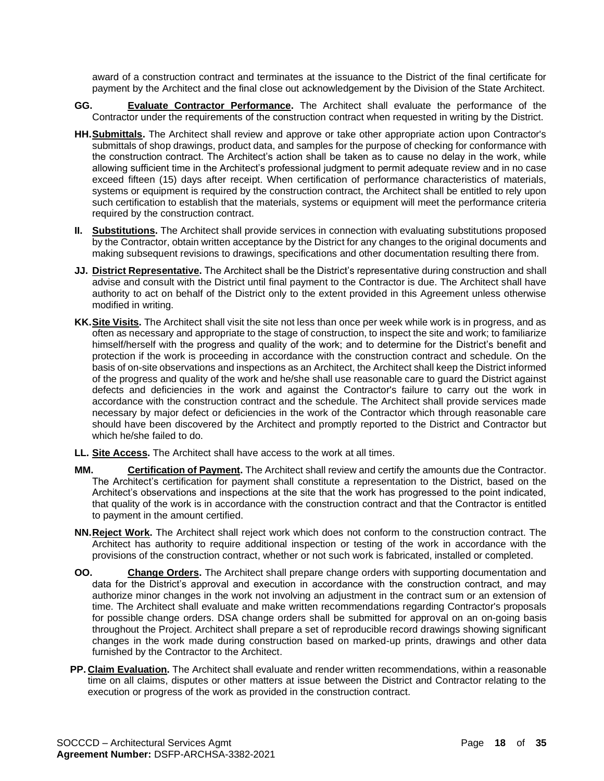award of a construction contract and terminates at the issuance to the District of the final certificate for payment by the Architect and the final close out acknowledgement by the Division of the State Architect.

- **GG. Evaluate Contractor Performance.** The Architect shall evaluate the performance of the Contractor under the requirements of the construction contract when requested in writing by the District.
- **HH.Submittals.** The Architect shall review and approve or take other appropriate action upon Contractor's submittals of shop drawings, product data, and samples for the purpose of checking for conformance with the construction contract. The Architect's action shall be taken as to cause no delay in the work, while allowing sufficient time in the Architect's professional judgment to permit adequate review and in no case exceed fifteen (15) days after receipt. When certification of performance characteristics of materials, systems or equipment is required by the construction contract, the Architect shall be entitled to rely upon such certification to establish that the materials, systems or equipment will meet the performance criteria required by the construction contract.
- **II. Substitutions.** The Architect shall provide services in connection with evaluating substitutions proposed by the Contractor, obtain written acceptance by the District for any changes to the original documents and making subsequent revisions to drawings, specifications and other documentation resulting there from.
- **JJ. District Representative.** The Architect shall be the District's representative during construction and shall advise and consult with the District until final payment to the Contractor is due. The Architect shall have authority to act on behalf of the District only to the extent provided in this Agreement unless otherwise modified in writing.
- **KK.Site Visits.** The Architect shall visit the site not less than once per week while work is in progress, and as often as necessary and appropriate to the stage of construction, to inspect the site and work; to familiarize himself/herself with the progress and quality of the work; and to determine for the District's benefit and protection if the work is proceeding in accordance with the construction contract and schedule. On the basis of on-site observations and inspections as an Architect, the Architect shall keep the District informed of the progress and quality of the work and he/she shall use reasonable care to guard the District against defects and deficiencies in the work and against the Contractor's failure to carry out the work in accordance with the construction contract and the schedule. The Architect shall provide services made necessary by major defect or deficiencies in the work of the Contractor which through reasonable care should have been discovered by the Architect and promptly reported to the District and Contractor but which he/she failed to do.
- **LL. Site Access.** The Architect shall have access to the work at all times.
- **MM. Certification of Payment.** The Architect shall review and certify the amounts due the Contractor. The Architect's certification for payment shall constitute a representation to the District, based on the Architect's observations and inspections at the site that the work has progressed to the point indicated, that quality of the work is in accordance with the construction contract and that the Contractor is entitled to payment in the amount certified.
- **NN.Reject Work.** The Architect shall reject work which does not conform to the construction contract. The Architect has authority to require additional inspection or testing of the work in accordance with the provisions of the construction contract, whether or not such work is fabricated, installed or completed.
- **OO. Change Orders.** The Architect shall prepare change orders with supporting documentation and data for the District's approval and execution in accordance with the construction contract, and may authorize minor changes in the work not involving an adjustment in the contract sum or an extension of time. The Architect shall evaluate and make written recommendations regarding Contractor's proposals for possible change orders. DSA change orders shall be submitted for approval on an on-going basis throughout the Project. Architect shall prepare a set of reproducible record drawings showing significant changes in the work made during construction based on marked-up prints, drawings and other data furnished by the Contractor to the Architect.
- **PP. Claim Evaluation.** The Architect shall evaluate and render written recommendations, within a reasonable time on all claims, disputes or other matters at issue between the District and Contractor relating to the execution or progress of the work as provided in the construction contract.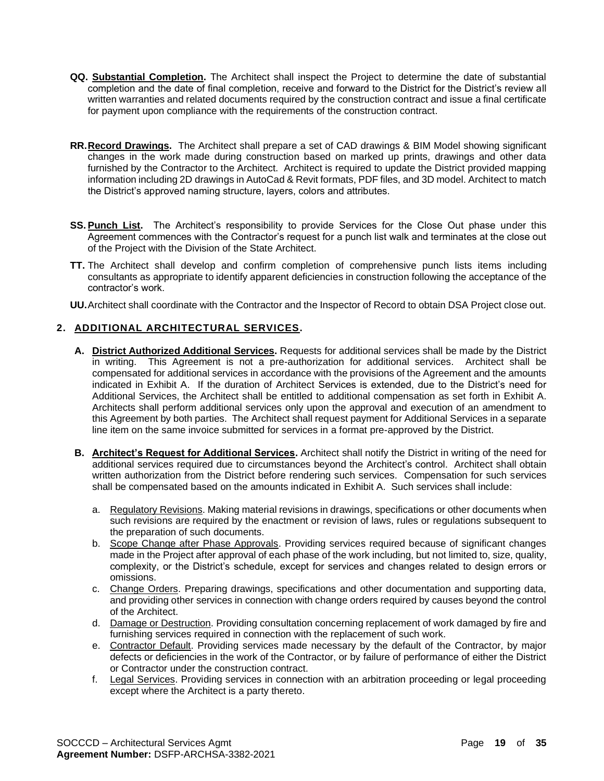- **QQ. Substantial Completion.** The Architect shall inspect the Project to determine the date of substantial completion and the date of final completion, receive and forward to the District for the District's review all written warranties and related documents required by the construction contract and issue a final certificate for payment upon compliance with the requirements of the construction contract.
- **RR.Record Drawings.** The Architect shall prepare a set of CAD drawings & BIM Model showing significant changes in the work made during construction based on marked up prints, drawings and other data furnished by the Contractor to the Architect. Architect is required to update the District provided mapping information including 2D drawings in AutoCad & Revit formats, PDF files, and 3D model. Architect to match the District's approved naming structure, layers, colors and attributes.
- **SS. Punch List.** The Architect's responsibility to provide Services for the Close Out phase under this Agreement commences with the Contractor's request for a punch list walk and terminates at the close out of the Project with the Division of the State Architect.
- **TT.** The Architect shall develop and confirm completion of comprehensive punch lists items including consultants as appropriate to identify apparent deficiencies in construction following the acceptance of the contractor's work.

**UU.**Architect shall coordinate with the Contractor and the Inspector of Record to obtain DSA Project close out.

# **2. ADDITIONAL ARCHITECTURAL SERVICES.**

- **A. District Authorized Additional Services.** Requests for additional services shall be made by the District in writing. This Agreement is not a pre-authorization for additional services. Architect shall be compensated for additional services in accordance with the provisions of the Agreement and the amounts indicated in Exhibit A. If the duration of Architect Services is extended, due to the District's need for Additional Services, the Architect shall be entitled to additional compensation as set forth in Exhibit A. Architects shall perform additional services only upon the approval and execution of an amendment to this Agreement by both parties. The Architect shall request payment for Additional Services in a separate line item on the same invoice submitted for services in a format pre-approved by the District.
- **B. Architect's Request for Additional Services.** Architect shall notify the District in writing of the need for additional services required due to circumstances beyond the Architect's control. Architect shall obtain written authorization from the District before rendering such services. Compensation for such services shall be compensated based on the amounts indicated in Exhibit A. Such services shall include:
	- a. Regulatory Revisions. Making material revisions in drawings, specifications or other documents when such revisions are required by the enactment or revision of laws, rules or regulations subsequent to the preparation of such documents.
	- b. Scope Change after Phase Approvals. Providing services required because of significant changes made in the Project after approval of each phase of the work including, but not limited to, size, quality, complexity, or the District's schedule, except for services and changes related to design errors or omissions.
	- c. Change Orders. Preparing drawings, specifications and other documentation and supporting data, and providing other services in connection with change orders required by causes beyond the control of the Architect.
	- d. Damage or Destruction. Providing consultation concerning replacement of work damaged by fire and furnishing services required in connection with the replacement of such work.
	- e. Contractor Default. Providing services made necessary by the default of the Contractor, by major defects or deficiencies in the work of the Contractor, or by failure of performance of either the District or Contractor under the construction contract.
	- f. Legal Services. Providing services in connection with an arbitration proceeding or legal proceeding except where the Architect is a party thereto.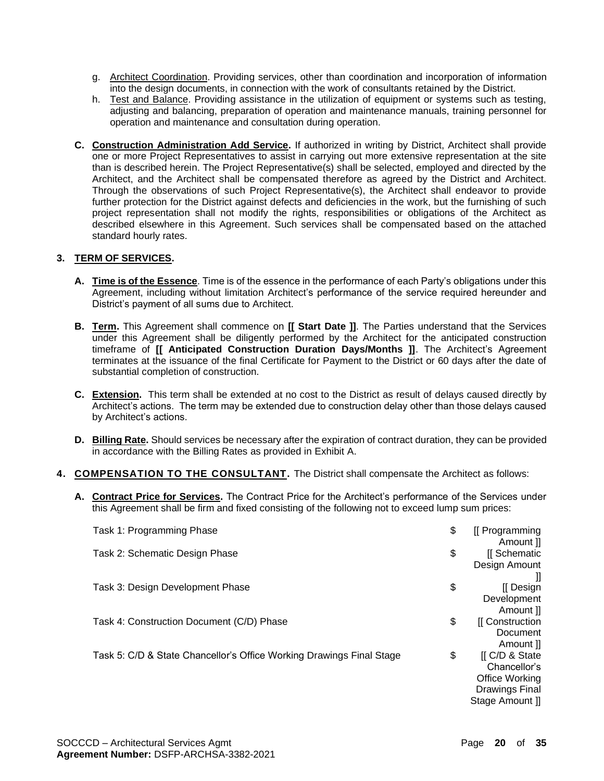- g. Architect Coordination. Providing services, other than coordination and incorporation of information into the design documents, in connection with the work of consultants retained by the District.
- h. Test and Balance. Providing assistance in the utilization of equipment or systems such as testing, adjusting and balancing, preparation of operation and maintenance manuals, training personnel for operation and maintenance and consultation during operation.
- **C. Construction Administration Add Service.** If authorized in writing by District, Architect shall provide one or more Project Representatives to assist in carrying out more extensive representation at the site than is described herein. The Project Representative(s) shall be selected, employed and directed by the Architect, and the Architect shall be compensated therefore as agreed by the District and Architect. Through the observations of such Project Representative(s), the Architect shall endeavor to provide further protection for the District against defects and deficiencies in the work, but the furnishing of such project representation shall not modify the rights, responsibilities or obligations of the Architect as described elsewhere in this Agreement. Such services shall be compensated based on the attached standard hourly rates.

# **3. TERM OF SERVICES.**

- **A. Time is of the Essence**. Time is of the essence in the performance of each Party's obligations under this Agreement, including without limitation Architect's performance of the service required hereunder and District's payment of all sums due to Architect.
- **B. Term.** This Agreement shall commence on **[[ Start Date ]]**. The Parties understand that the Services under this Agreement shall be diligently performed by the Architect for the anticipated construction timeframe of **[[ Anticipated Construction Duration Days/Months ]]**. The Architect's Agreement terminates at the issuance of the final Certificate for Payment to the District or 60 days after the date of substantial completion of construction.
- **C. Extension.** This term shall be extended at no cost to the District as result of delays caused directly by Architect's actions. The term may be extended due to construction delay other than those delays caused by Architect's actions.
- **D. Billing Rate.** Should services be necessary after the expiration of contract duration, they can be provided in accordance with the Billing Rates as provided in Exhibit A.
- **4. COMPENSATION TO THE CONSULTANT.** The District shall compensate the Architect as follows:
	- **A. Contract Price for Services.** The Contract Price for the Architect's performance of the Services under this Agreement shall be firm and fixed consisting of the following not to exceed lump sum prices:

| Task 1: Programming Phase                                            | \$<br>[[ Programming          |
|----------------------------------------------------------------------|-------------------------------|
|                                                                      | Amount II                     |
| Task 2: Schematic Design Phase                                       | \$<br>[[ Schematic            |
|                                                                      | Design Amount                 |
|                                                                      |                               |
| Task 3: Design Development Phase                                     | \$<br>[[ Design               |
|                                                                      | Development                   |
|                                                                      | Amount 1                      |
| Task 4: Construction Document (C/D) Phase                            | \$<br>[[ Construction         |
|                                                                      | <b>Document</b>               |
|                                                                      | Amount 1                      |
| Task 5: C/D & State Chancellor's Office Working Drawings Final Stage | \$<br>$\parallel$ C/D & State |
|                                                                      | Chancellor's                  |
|                                                                      | Office Working                |
|                                                                      | <b>Drawings Final</b>         |
|                                                                      | Stage Amount II               |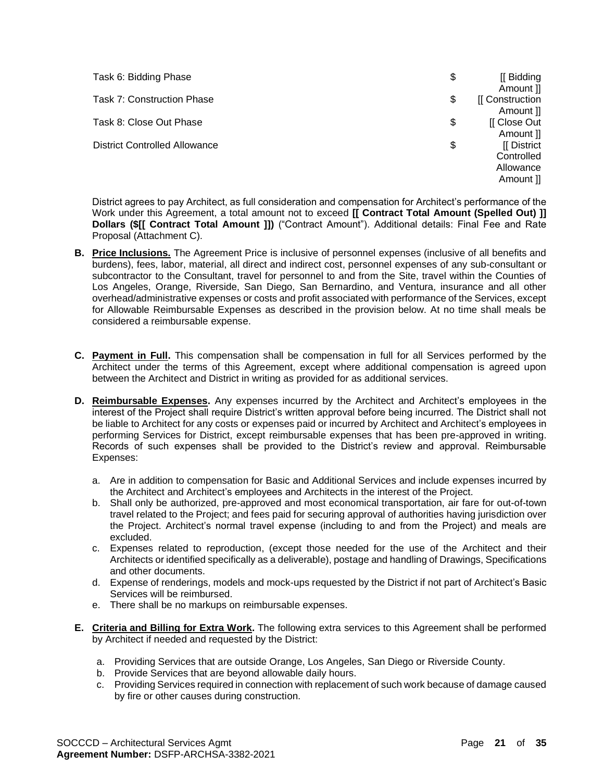| Task 6: Bidding Phase                | \$<br>[[ Bidding                  |
|--------------------------------------|-----------------------------------|
| <b>Task 7: Construction Phase</b>    | \$<br>Amount 1<br>[[ Construction |
| Task 8: Close Out Phase              | \$<br>Amount 1<br>[[ Close Out    |
|                                      | Amount 1                          |
| <b>District Controlled Allowance</b> | \$<br>[[ District<br>Controlled   |
|                                      | Allowance                         |
|                                      | Amount II                         |

District agrees to pay Architect, as full consideration and compensation for Architect's performance of the Work under this Agreement, a total amount not to exceed **[[ Contract Total Amount (Spelled Out) ]] Dollars (\$[[ Contract Total Amount ]])** ("Contract Amount"). Additional details: Final Fee and Rate Proposal (Attachment C).

- **B. Price Inclusions.** The Agreement Price is inclusive of personnel expenses (inclusive of all benefits and burdens), fees, labor, material, all direct and indirect cost, personnel expenses of any sub-consultant or subcontractor to the Consultant, travel for personnel to and from the Site, travel within the Counties of Los Angeles, Orange, Riverside, San Diego, San Bernardino, and Ventura, insurance and all other overhead/administrative expenses or costs and profit associated with performance of the Services, except for Allowable Reimbursable Expenses as described in the provision below. At no time shall meals be considered a reimbursable expense.
- **C. Payment in Full.** This compensation shall be compensation in full for all Services performed by the Architect under the terms of this Agreement, except where additional compensation is agreed upon between the Architect and District in writing as provided for as additional services.
- **D. Reimbursable Expenses.** Any expenses incurred by the Architect and Architect's employees in the interest of the Project shall require District's written approval before being incurred. The District shall not be liable to Architect for any costs or expenses paid or incurred by Architect and Architect's employees in performing Services for District, except reimbursable expenses that has been pre-approved in writing. Records of such expenses shall be provided to the District's review and approval. Reimbursable Expenses:
	- a. Are in addition to compensation for Basic and Additional Services and include expenses incurred by the Architect and Architect's employees and Architects in the interest of the Project.
	- b. Shall only be authorized, pre-approved and most economical transportation, air fare for out-of-town travel related to the Project; and fees paid for securing approval of authorities having jurisdiction over the Project. Architect's normal travel expense (including to and from the Project) and meals are excluded.
	- c. Expenses related to reproduction, (except those needed for the use of the Architect and their Architects or identified specifically as a deliverable), postage and handling of Drawings, Specifications and other documents.
	- d. Expense of renderings, models and mock-ups requested by the District if not part of Architect's Basic Services will be reimbursed.
	- e. There shall be no markups on reimbursable expenses.
- **E. Criteria and Billing for Extra Work.** The following extra services to this Agreement shall be performed by Architect if needed and requested by the District:
	- a. Providing Services that are outside Orange, Los Angeles, San Diego or Riverside County.
	- b. Provide Services that are beyond allowable daily hours.
	- c. Providing Services required in connection with replacement of such work because of damage caused by fire or other causes during construction.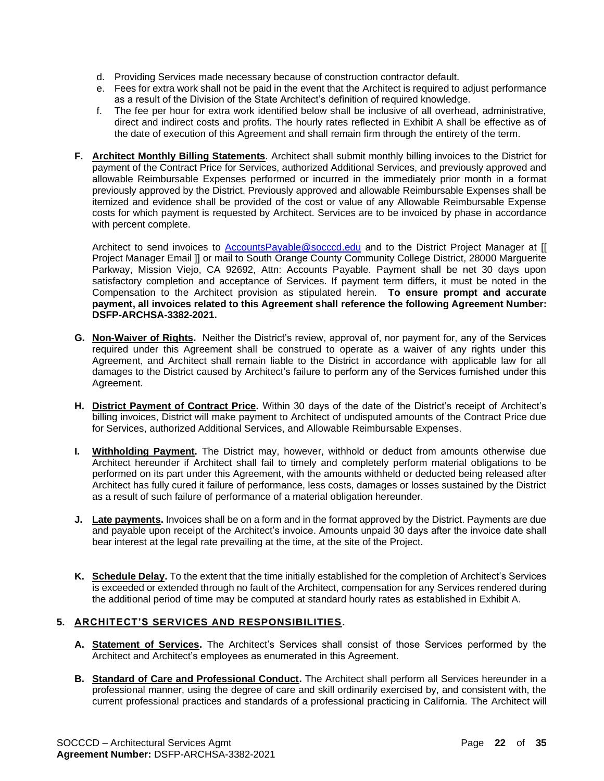- d. Providing Services made necessary because of construction contractor default.
- e. Fees for extra work shall not be paid in the event that the Architect is required to adjust performance as a result of the Division of the State Architect's definition of required knowledge.
- f. The fee per hour for extra work identified below shall be inclusive of all overhead, administrative, direct and indirect costs and profits. The hourly rates reflected in Exhibit A shall be effective as of the date of execution of this Agreement and shall remain firm through the entirety of the term.
- **F. Architect Monthly Billing Statements**. Architect shall submit monthly billing invoices to the District for payment of the Contract Price for Services, authorized Additional Services, and previously approved and allowable Reimbursable Expenses performed or incurred in the immediately prior month in a format previously approved by the District. Previously approved and allowable Reimbursable Expenses shall be itemized and evidence shall be provided of the cost or value of any Allowable Reimbursable Expense costs for which payment is requested by Architect. Services are to be invoiced by phase in accordance with percent complete.

Architect to send invoices to [AccountsPayable@socccd.edu](mailto:AccountsPayable@socccd.edu) and to the District Project Manager at [[ Project Manager Email ]] or mail to South Orange County Community College District, 28000 Marguerite Parkway, Mission Viejo, CA 92692, Attn: Accounts Payable. Payment shall be net 30 days upon satisfactory completion and acceptance of Services. If payment term differs, it must be noted in the Compensation to the Architect provision as stipulated herein. **To ensure prompt and accurate payment, all invoices related to this Agreement shall reference the following Agreement Number: DSFP-ARCHSA-3382-2021.**

- **G. Non-Waiver of Rights.** Neither the District's review, approval of, nor payment for, any of the Services required under this Agreement shall be construed to operate as a waiver of any rights under this Agreement, and Architect shall remain liable to the District in accordance with applicable law for all damages to the District caused by Architect's failure to perform any of the Services furnished under this Agreement.
- **H. District Payment of Contract Price.** Within 30 days of the date of the District's receipt of Architect's billing invoices, District will make payment to Architect of undisputed amounts of the Contract Price due for Services, authorized Additional Services, and Allowable Reimbursable Expenses.
- **I. Withholding Payment.** The District may, however, withhold or deduct from amounts otherwise due Architect hereunder if Architect shall fail to timely and completely perform material obligations to be performed on its part under this Agreement, with the amounts withheld or deducted being released after Architect has fully cured it failure of performance, less costs, damages or losses sustained by the District as a result of such failure of performance of a material obligation hereunder.
- **J. Late payments.** Invoices shall be on a form and in the format approved by the District. Payments are due and payable upon receipt of the Architect's invoice. Amounts unpaid 30 days after the invoice date shall bear interest at the legal rate prevailing at the time, at the site of the Project.
- **K. Schedule Delay.** To the extent that the time initially established for the completion of Architect's Services is exceeded or extended through no fault of the Architect, compensation for any Services rendered during the additional period of time may be computed at standard hourly rates as established in Exhibit A.

# **5. ARCHITECT'S SERVICES AND RESPONSIBILITIES.**

- **A. Statement of Services.** The Architect's Services shall consist of those Services performed by the Architect and Architect's employees as enumerated in this Agreement.
- **B. Standard of Care and Professional Conduct.** The Architect shall perform all Services hereunder in a professional manner, using the degree of care and skill ordinarily exercised by, and consistent with, the current professional practices and standards of a professional practicing in California. The Architect will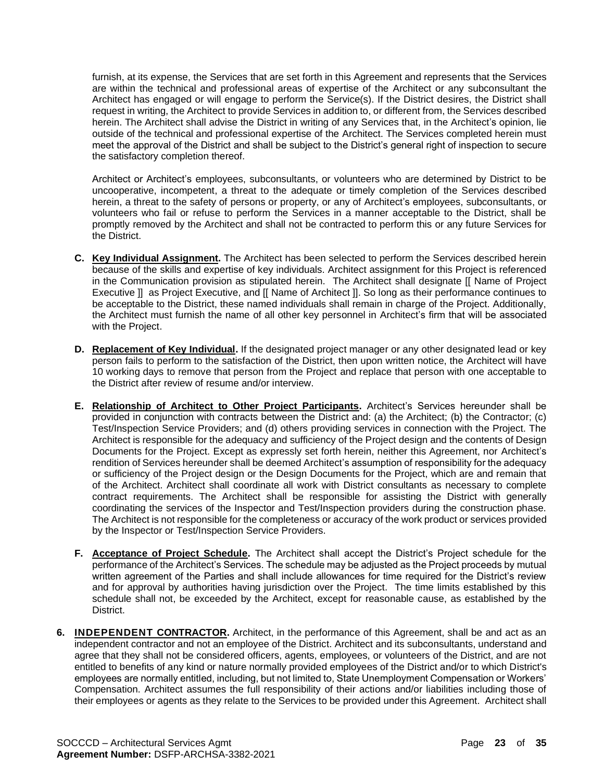furnish, at its expense, the Services that are set forth in this Agreement and represents that the Services are within the technical and professional areas of expertise of the Architect or any subconsultant the Architect has engaged or will engage to perform the Service(s). If the District desires, the District shall request in writing, the Architect to provide Services in addition to, or different from, the Services described herein. The Architect shall advise the District in writing of any Services that, in the Architect's opinion, lie outside of the technical and professional expertise of the Architect. The Services completed herein must meet the approval of the District and shall be subject to the District's general right of inspection to secure the satisfactory completion thereof.

Architect or Architect's employees, subconsultants, or volunteers who are determined by District to be uncooperative, incompetent, a threat to the adequate or timely completion of the Services described herein, a threat to the safety of persons or property, or any of Architect's employees, subconsultants, or volunteers who fail or refuse to perform the Services in a manner acceptable to the District, shall be promptly removed by the Architect and shall not be contracted to perform this or any future Services for the District.

- **C. Key Individual Assignment.** The Architect has been selected to perform the Services described herein because of the skills and expertise of key individuals. Architect assignment for this Project is referenced in the Communication provision as stipulated herein. The Architect shall designate [[ Name of Project Executive ]] as Project Executive, and [[ Name of Architect ]]. So long as their performance continues to be acceptable to the District, these named individuals shall remain in charge of the Project. Additionally, the Architect must furnish the name of all other key personnel in Architect's firm that will be associated with the Project.
- **D. Replacement of Key Individual.** If the designated project manager or any other designated lead or key person fails to perform to the satisfaction of the District, then upon written notice, the Architect will have 10 working days to remove that person from the Project and replace that person with one acceptable to the District after review of resume and/or interview.
- **E. Relationship of Architect to Other Project Participants.** Architect's Services hereunder shall be provided in conjunction with contracts between the District and: (a) the Architect; (b) the Contractor; (c) Test/Inspection Service Providers; and (d) others providing services in connection with the Project. The Architect is responsible for the adequacy and sufficiency of the Project design and the contents of Design Documents for the Project. Except as expressly set forth herein, neither this Agreement, nor Architect's rendition of Services hereunder shall be deemed Architect's assumption of responsibility for the adequacy or sufficiency of the Project design or the Design Documents for the Project, which are and remain that of the Architect. Architect shall coordinate all work with District consultants as necessary to complete contract requirements. The Architect shall be responsible for assisting the District with generally coordinating the services of the Inspector and Test/Inspection providers during the construction phase. The Architect is not responsible for the completeness or accuracy of the work product or services provided by the Inspector or Test/Inspection Service Providers.
- **F. Acceptance of Project Schedule.** The Architect shall accept the District's Project schedule for the performance of the Architect's Services. The schedule may be adjusted as the Project proceeds by mutual written agreement of the Parties and shall include allowances for time required for the District's review and for approval by authorities having jurisdiction over the Project. The time limits established by this schedule shall not, be exceeded by the Architect, except for reasonable cause, as established by the District.
- **6. INDEPENDENT CONTRACTOR.** Architect, in the performance of this Agreement, shall be and act as an independent contractor and not an employee of the District. Architect and its subconsultants, understand and agree that they shall not be considered officers, agents, employees, or volunteers of the District, and are not entitled to benefits of any kind or nature normally provided employees of the District and/or to which District's employees are normally entitled, including, but not limited to, State Unemployment Compensation or Workers' Compensation. Architect assumes the full responsibility of their actions and/or liabilities including those of their employees or agents as they relate to the Services to be provided under this Agreement. Architect shall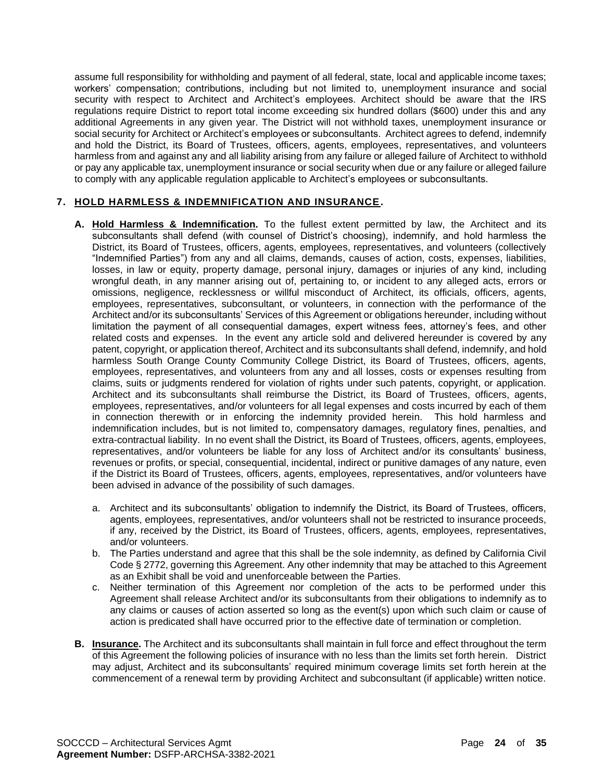assume full responsibility for withholding and payment of all federal, state, local and applicable income taxes; workers' compensation; contributions, including but not limited to, unemployment insurance and social security with respect to Architect and Architect's employees. Architect should be aware that the IRS regulations require District to report total income exceeding six hundred dollars (\$600) under this and any additional Agreements in any given year. The District will not withhold taxes, unemployment insurance or social security for Architect or Architect's employees or subconsultants. Architect agrees to defend, indemnify and hold the District, its Board of Trustees, officers, agents, employees, representatives, and volunteers harmless from and against any and all liability arising from any failure or alleged failure of Architect to withhold or pay any applicable tax, unemployment insurance or social security when due or any failure or alleged failure to comply with any applicable regulation applicable to Architect's employees or subconsultants.

# **7. HOLD HARMLESS & INDEMNIFICATION AND INSURANCE.**

- **A. Hold Harmless & Indemnification.** To the fullest extent permitted by law, the Architect and its subconsultants shall defend (with counsel of District's choosing), indemnify, and hold harmless the District, its Board of Trustees, officers, agents, employees, representatives, and volunteers (collectively "Indemnified Parties") from any and all claims, demands, causes of action, costs, expenses, liabilities, losses, in law or equity, property damage, personal injury, damages or injuries of any kind, including wrongful death, in any manner arising out of, pertaining to, or incident to any alleged acts, errors or omissions, negligence, recklessness or willful misconduct of Architect, its officials, officers, agents, employees, representatives, subconsultant, or volunteers, in connection with the performance of the Architect and/or its subconsultants' Services of this Agreement or obligations hereunder, including without limitation the payment of all consequential damages, expert witness fees, attorney's fees, and other related costs and expenses. In the event any article sold and delivered hereunder is covered by any patent, copyright, or application thereof, Architect and its subconsultants shall defend, indemnify, and hold harmless South Orange County Community College District, its Board of Trustees, officers, agents, employees, representatives, and volunteers from any and all losses, costs or expenses resulting from claims, suits or judgments rendered for violation of rights under such patents, copyright, or application. Architect and its subconsultants shall reimburse the District, its Board of Trustees, officers, agents, employees, representatives, and/or volunteers for all legal expenses and costs incurred by each of them in connection therewith or in enforcing the indemnity provided herein. This hold harmless and indemnification includes, but is not limited to, compensatory damages, regulatory fines, penalties, and extra-contractual liability. In no event shall the District, its Board of Trustees, officers, agents, employees, representatives, and/or volunteers be liable for any loss of Architect and/or its consultants' business, revenues or profits, or special, consequential, incidental, indirect or punitive damages of any nature, even if the District its Board of Trustees, officers, agents, employees, representatives, and/or volunteers have been advised in advance of the possibility of such damages.
	- a. Architect and its subconsultants' obligation to indemnify the District, its Board of Trustees, officers, agents, employees, representatives, and/or volunteers shall not be restricted to insurance proceeds, if any, received by the District, its Board of Trustees, officers, agents, employees, representatives, and/or volunteers.
	- b. The Parties understand and agree that this shall be the sole indemnity, as defined by California Civil Code § 2772, governing this Agreement. Any other indemnity that may be attached to this Agreement as an Exhibit shall be void and unenforceable between the Parties.
	- c. Neither termination of this Agreement nor completion of the acts to be performed under this Agreement shall release Architect and/or its subconsultants from their obligations to indemnify as to any claims or causes of action asserted so long as the event(s) upon which such claim or cause of action is predicated shall have occurred prior to the effective date of termination or completion.
- **B. Insurance.** The Architect and its subconsultants shall maintain in full force and effect throughout the term of this Agreement the following policies of insurance with no less than the limits set forth herein. District may adjust, Architect and its subconsultants' required minimum coverage limits set forth herein at the commencement of a renewal term by providing Architect and subconsultant (if applicable) written notice.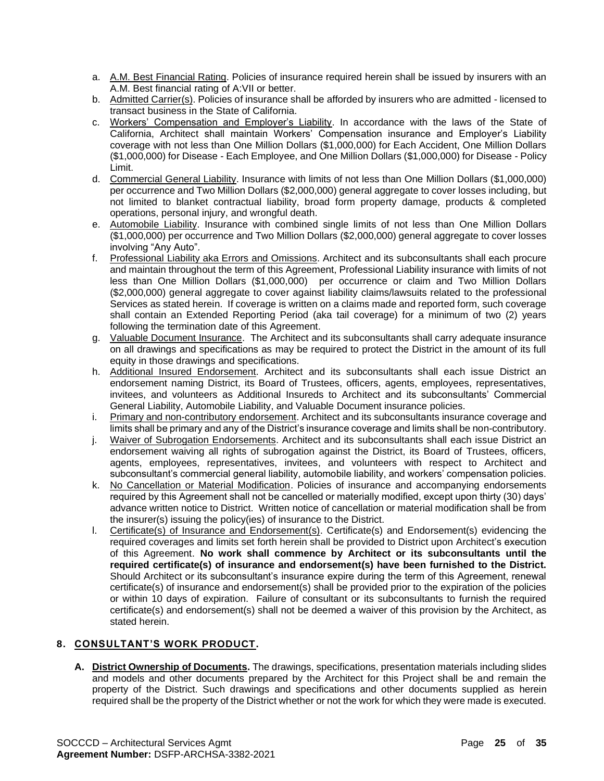- a. A.M. Best Financial Rating. Policies of insurance required herein shall be issued by insurers with an A.M. Best financial rating of A:VII or better.
- b. Admitted Carrier(s). Policies of insurance shall be afforded by insurers who are admitted licensed to transact business in the State of California.
- c. Workers' Compensation and Employer's Liability. In accordance with the laws of the State of California, Architect shall maintain Workers' Compensation insurance and Employer's Liability coverage with not less than One Million Dollars (\$1,000,000) for Each Accident, One Million Dollars (\$1,000,000) for Disease - Each Employee, and One Million Dollars (\$1,000,000) for Disease - Policy Limit.
- d. Commercial General Liability. Insurance with limits of not less than One Million Dollars (\$1,000,000) per occurrence and Two Million Dollars (\$2,000,000) general aggregate to cover losses including, but not limited to blanket contractual liability, broad form property damage, products & completed operations, personal injury, and wrongful death.
- e. Automobile Liability. Insurance with combined single limits of not less than One Million Dollars (\$1,000,000) per occurrence and Two Million Dollars (\$2,000,000) general aggregate to cover losses involving "Any Auto".
- f. Professional Liability aka Errors and Omissions. Architect and its subconsultants shall each procure and maintain throughout the term of this Agreement, Professional Liability insurance with limits of not less than One Million Dollars (\$1,000,000) per occurrence or claim and Two Million Dollars (\$2,000,000) general aggregate to cover against liability claims/lawsuits related to the professional Services as stated herein. If coverage is written on a claims made and reported form, such coverage shall contain an Extended Reporting Period (aka tail coverage) for a minimum of two (2) years following the termination date of this Agreement.
- g. Valuable Document Insurance. The Architect and its subconsultants shall carry adequate insurance on all drawings and specifications as may be required to protect the District in the amount of its full equity in those drawings and specifications.
- h. Additional Insured Endorsement. Architect and its subconsultants shall each issue District an endorsement naming District, its Board of Trustees, officers, agents, employees, representatives, invitees, and volunteers as Additional Insureds to Architect and its subconsultants' Commercial General Liability, Automobile Liability, and Valuable Document insurance policies.
- i. Primary and non-contributory endorsement. Architect and its subconsultants insurance coverage and limits shall be primary and any of the District's insurance coverage and limits shall be non-contributory.
- j. Waiver of Subrogation Endorsements. Architect and its subconsultants shall each issue District an endorsement waiving all rights of subrogation against the District, its Board of Trustees, officers, agents, employees, representatives, invitees, and volunteers with respect to Architect and subconsultant's commercial general liability, automobile liability, and workers' compensation policies.
- k. No Cancellation or Material Modification. Policies of insurance and accompanying endorsements required by this Agreement shall not be cancelled or materially modified, except upon thirty (30) days' advance written notice to District. Written notice of cancellation or material modification shall be from the insurer(s) issuing the policy(ies) of insurance to the District.
- l. Certificate(s) of Insurance and Endorsement(s). Certificate(s) and Endorsement(s) evidencing the required coverages and limits set forth herein shall be provided to District upon Architect's execution of this Agreement. **No work shall commence by Architect or its subconsultants until the required certificate(s) of insurance and endorsement(s) have been furnished to the District.** Should Architect or its subconsultant's insurance expire during the term of this Agreement, renewal certificate(s) of insurance and endorsement(s) shall be provided prior to the expiration of the policies or within 10 days of expiration. Failure of consultant or its subconsultants to furnish the required certificate(s) and endorsement(s) shall not be deemed a waiver of this provision by the Architect, as stated herein.

# **8. CONSULTANT'S WORK PRODUCT.**

**A. District Ownership of Documents.** The drawings, specifications, presentation materials including slides and models and other documents prepared by the Architect for this Project shall be and remain the property of the District. Such drawings and specifications and other documents supplied as herein required shall be the property of the District whether or not the work for which they were made is executed.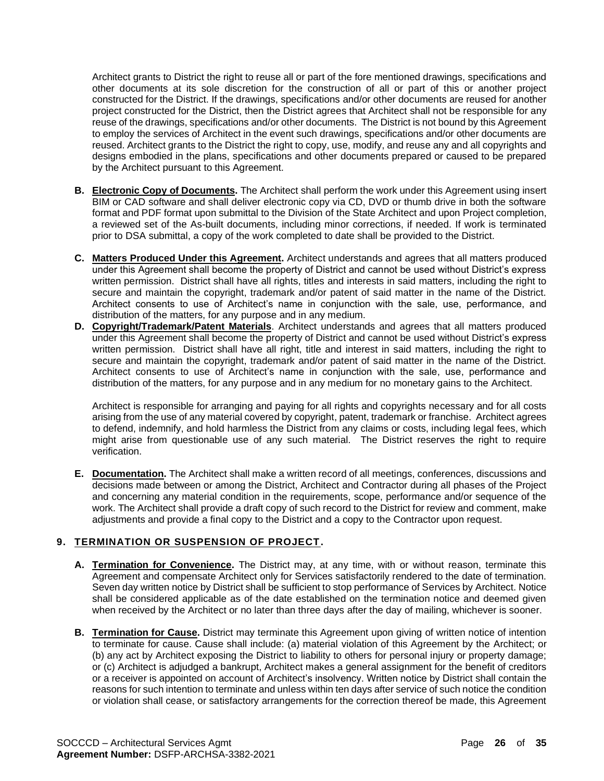Architect grants to District the right to reuse all or part of the fore mentioned drawings, specifications and other documents at its sole discretion for the construction of all or part of this or another project constructed for the District. If the drawings, specifications and/or other documents are reused for another project constructed for the District, then the District agrees that Architect shall not be responsible for any reuse of the drawings, specifications and/or other documents. The District is not bound by this Agreement to employ the services of Architect in the event such drawings, specifications and/or other documents are reused. Architect grants to the District the right to copy, use, modify, and reuse any and all copyrights and designs embodied in the plans, specifications and other documents prepared or caused to be prepared by the Architect pursuant to this Agreement.

- **B. Electronic Copy of Documents.** The Architect shall perform the work under this Agreement using insert BIM or CAD software and shall deliver electronic copy via CD, DVD or thumb drive in both the software format and PDF format upon submittal to the Division of the State Architect and upon Project completion, a reviewed set of the As-built documents, including minor corrections, if needed. If work is terminated prior to DSA submittal, a copy of the work completed to date shall be provided to the District.
- **C. Matters Produced Under this Agreement.** Architect understands and agrees that all matters produced under this Agreement shall become the property of District and cannot be used without District's express written permission. District shall have all rights, titles and interests in said matters, including the right to secure and maintain the copyright, trademark and/or patent of said matter in the name of the District. Architect consents to use of Architect's name in conjunction with the sale, use, performance, and distribution of the matters, for any purpose and in any medium.
- **D. Copyright/Trademark/Patent Materials**. Architect understands and agrees that all matters produced under this Agreement shall become the property of District and cannot be used without District's express written permission. District shall have all right, title and interest in said matters, including the right to secure and maintain the copyright, trademark and/or patent of said matter in the name of the District. Architect consents to use of Architect's name in conjunction with the sale, use, performance and distribution of the matters, for any purpose and in any medium for no monetary gains to the Architect.

Architect is responsible for arranging and paying for all rights and copyrights necessary and for all costs arising from the use of any material covered by copyright, patent, trademark or franchise. Architect agrees to defend, indemnify, and hold harmless the District from any claims or costs, including legal fees, which might arise from questionable use of any such material. The District reserves the right to require verification.

**E. Documentation.** The Architect shall make a written record of all meetings, conferences, discussions and decisions made between or among the District, Architect and Contractor during all phases of the Project and concerning any material condition in the requirements, scope, performance and/or sequence of the work. The Architect shall provide a draft copy of such record to the District for review and comment, make adjustments and provide a final copy to the District and a copy to the Contractor upon request.

# **9. TERMINATION OR SUSPENSION OF PROJECT.**

- **A. Termination for Convenience.** The District may, at any time, with or without reason, terminate this Agreement and compensate Architect only for Services satisfactorily rendered to the date of termination. Seven day written notice by District shall be sufficient to stop performance of Services by Architect. Notice shall be considered applicable as of the date established on the termination notice and deemed given when received by the Architect or no later than three days after the day of mailing, whichever is sooner.
- **B. Termination for Cause.** District may terminate this Agreement upon giving of written notice of intention to terminate for cause. Cause shall include: (a) material violation of this Agreement by the Architect; or (b) any act by Architect exposing the District to liability to others for personal injury or property damage; or (c) Architect is adjudged a bankrupt, Architect makes a general assignment for the benefit of creditors or a receiver is appointed on account of Architect's insolvency. Written notice by District shall contain the reasons for such intention to terminate and unless within ten days after service of such notice the condition or violation shall cease, or satisfactory arrangements for the correction thereof be made, this Agreement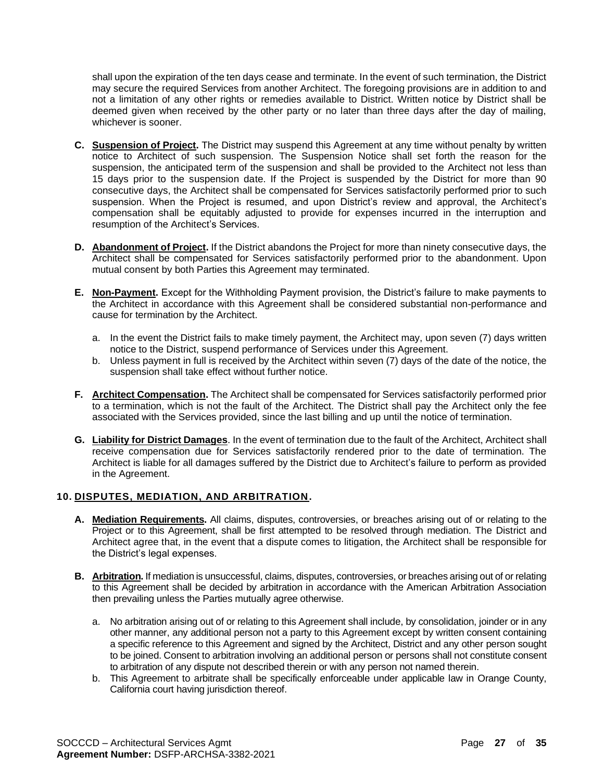shall upon the expiration of the ten days cease and terminate. In the event of such termination, the District may secure the required Services from another Architect. The foregoing provisions are in addition to and not a limitation of any other rights or remedies available to District. Written notice by District shall be deemed given when received by the other party or no later than three days after the day of mailing, whichever is sooner.

- **C. Suspension of Project.** The District may suspend this Agreement at any time without penalty by written notice to Architect of such suspension. The Suspension Notice shall set forth the reason for the suspension, the anticipated term of the suspension and shall be provided to the Architect not less than 15 days prior to the suspension date. If the Project is suspended by the District for more than 90 consecutive days, the Architect shall be compensated for Services satisfactorily performed prior to such suspension. When the Project is resumed, and upon District's review and approval, the Architect's compensation shall be equitably adjusted to provide for expenses incurred in the interruption and resumption of the Architect's Services.
- **D. Abandonment of Project.** If the District abandons the Project for more than ninety consecutive days, the Architect shall be compensated for Services satisfactorily performed prior to the abandonment. Upon mutual consent by both Parties this Agreement may terminated.
- **E. Non-Payment.** Except for the Withholding Payment provision, the District's failure to make payments to the Architect in accordance with this Agreement shall be considered substantial non-performance and cause for termination by the Architect.
	- a. In the event the District fails to make timely payment, the Architect may, upon seven (7) days written notice to the District, suspend performance of Services under this Agreement.
	- b. Unless payment in full is received by the Architect within seven (7) days of the date of the notice, the suspension shall take effect without further notice.
- **F. Architect Compensation.** The Architect shall be compensated for Services satisfactorily performed prior to a termination, which is not the fault of the Architect. The District shall pay the Architect only the fee associated with the Services provided, since the last billing and up until the notice of termination.
- **G. Liability for District Damages**. In the event of termination due to the fault of the Architect, Architect shall receive compensation due for Services satisfactorily rendered prior to the date of termination. The Architect is liable for all damages suffered by the District due to Architect's failure to perform as provided in the Agreement.

# **10. DISPUTES, MEDIATION, AND ARBITRATION.**

- **A. Mediation Requirements.** All claims, disputes, controversies, or breaches arising out of or relating to the Project or to this Agreement, shall be first attempted to be resolved through mediation. The District and Architect agree that, in the event that a dispute comes to litigation, the Architect shall be responsible for the District's legal expenses.
- **B. Arbitration.**If mediation is unsuccessful, claims, disputes, controversies, or breaches arising out of or relating to this Agreement shall be decided by arbitration in accordance with the American Arbitration Association then prevailing unless the Parties mutually agree otherwise.
	- a. No arbitration arising out of or relating to this Agreement shall include, by consolidation, joinder or in any other manner, any additional person not a party to this Agreement except by written consent containing a specific reference to this Agreement and signed by the Architect, District and any other person sought to be joined. Consent to arbitration involving an additional person or persons shall not constitute consent to arbitration of any dispute not described therein or with any person not named therein.
	- b. This Agreement to arbitrate shall be specifically enforceable under applicable law in Orange County, California court having jurisdiction thereof.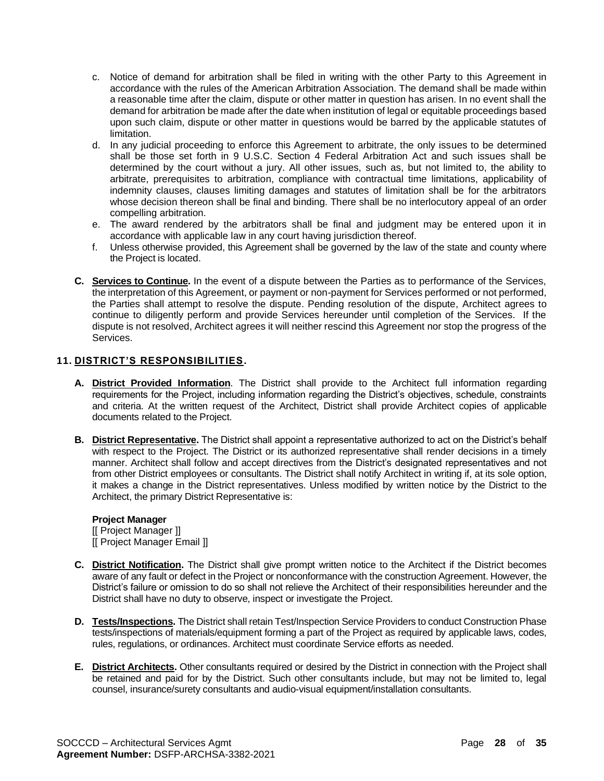- c. Notice of demand for arbitration shall be filed in writing with the other Party to this Agreement in accordance with the rules of the American Arbitration Association. The demand shall be made within a reasonable time after the claim, dispute or other matter in question has arisen. In no event shall the demand for arbitration be made after the date when institution of legal or equitable proceedings based upon such claim, dispute or other matter in questions would be barred by the applicable statutes of limitation.
- d. In any judicial proceeding to enforce this Agreement to arbitrate, the only issues to be determined shall be those set forth in 9 U.S.C. Section 4 Federal Arbitration Act and such issues shall be determined by the court without a jury. All other issues, such as, but not limited to, the ability to arbitrate, prerequisites to arbitration, compliance with contractual time limitations, applicability of indemnity clauses, clauses limiting damages and statutes of limitation shall be for the arbitrators whose decision thereon shall be final and binding. There shall be no interlocutory appeal of an order compelling arbitration.
- e. The award rendered by the arbitrators shall be final and judgment may be entered upon it in accordance with applicable law in any court having jurisdiction thereof.
- f. Unless otherwise provided, this Agreement shall be governed by the law of the state and county where the Project is located.
- **C. Services to Continue.** In the event of a dispute between the Parties as to performance of the Services, the interpretation of this Agreement, or payment or non-payment for Services performed or not performed, the Parties shall attempt to resolve the dispute. Pending resolution of the dispute, Architect agrees to continue to diligently perform and provide Services hereunder until completion of the Services. If the dispute is not resolved, Architect agrees it will neither rescind this Agreement nor stop the progress of the Services.

# **11. DISTRICT'S RESPONSIBILITIES.**

- **A. District Provided Information**. The District shall provide to the Architect full information regarding requirements for the Project, including information regarding the District's objectives, schedule, constraints and criteria. At the written request of the Architect, District shall provide Architect copies of applicable documents related to the Project.
- **B. District Representative.** The District shall appoint a representative authorized to act on the District's behalf with respect to the Project. The District or its authorized representative shall render decisions in a timely manner. Architect shall follow and accept directives from the District's designated representatives and not from other District employees or consultants. The District shall notify Architect in writing if, at its sole option, it makes a change in the District representatives. Unless modified by written notice by the District to the Architect, the primary District Representative is:

**Project Manager** [[ Project Manager ]] [[ Project Manager Email ]]

- **C. District Notification.** The District shall give prompt written notice to the Architect if the District becomes aware of any fault or defect in the Project or nonconformance with the construction Agreement. However, the District's failure or omission to do so shall not relieve the Architect of their responsibilities hereunder and the District shall have no duty to observe, inspect or investigate the Project.
- **D. Tests/Inspections.** The District shall retain Test/Inspection Service Providers to conduct Construction Phase tests/inspections of materials/equipment forming a part of the Project as required by applicable laws, codes, rules, regulations, or ordinances. Architect must coordinate Service efforts as needed.
- **E. District Architects.** Other consultants required or desired by the District in connection with the Project shall be retained and paid for by the District. Such other consultants include, but may not be limited to, legal counsel, insurance/surety consultants and audio-visual equipment/installation consultants.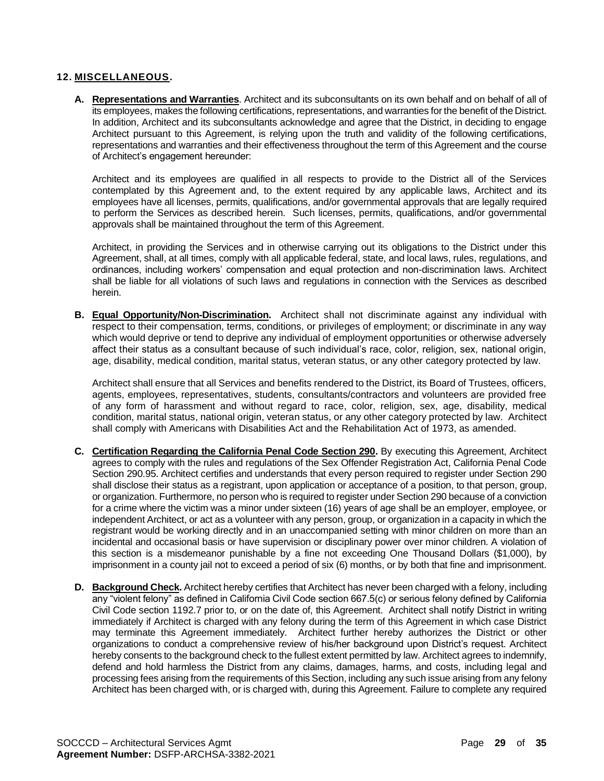#### **12. MISCELLANEOUS.**

**A. Representations and Warranties**. Architect and its subconsultants on its own behalf and on behalf of all of its employees, makes the following certifications, representations, and warranties for the benefit of the District. In addition, Architect and its subconsultants acknowledge and agree that the District, in deciding to engage Architect pursuant to this Agreement, is relying upon the truth and validity of the following certifications, representations and warranties and their effectiveness throughout the term of this Agreement and the course of Architect's engagement hereunder:

Architect and its employees are qualified in all respects to provide to the District all of the Services contemplated by this Agreement and, to the extent required by any applicable laws, Architect and its employees have all licenses, permits, qualifications, and/or governmental approvals that are legally required to perform the Services as described herein. Such licenses, permits, qualifications, and/or governmental approvals shall be maintained throughout the term of this Agreement.

Architect, in providing the Services and in otherwise carrying out its obligations to the District under this Agreement, shall, at all times, comply with all applicable federal, state, and local laws, rules, regulations, and ordinances, including workers' compensation and equal protection and non-discrimination laws. Architect shall be liable for all violations of such laws and regulations in connection with the Services as described herein.

**B. Equal Opportunity/Non-Discrimination.** Architect shall not discriminate against any individual with respect to their compensation, terms, conditions, or privileges of employment; or discriminate in any way which would deprive or tend to deprive any individual of employment opportunities or otherwise adversely affect their status as a consultant because of such individual's race, color, religion, sex, national origin, age, disability, medical condition, marital status, veteran status, or any other category protected by law.

Architect shall ensure that all Services and benefits rendered to the District, its Board of Trustees, officers, agents, employees, representatives, students, consultants/contractors and volunteers are provided free of any form of harassment and without regard to race, color, religion, sex, age, disability, medical condition, marital status, national origin, veteran status, or any other category protected by law. Architect shall comply with Americans with Disabilities Act and the Rehabilitation Act of 1973, as amended.

- **C. Certification Regarding the California Penal Code Section 290.** By executing this Agreement, Architect agrees to comply with the rules and regulations of the Sex Offender Registration Act, California Penal Code Section 290.95. Architect certifies and understands that every person required to register under Section 290 shall disclose their status as a registrant, upon application or acceptance of a position, to that person, group, or organization. Furthermore, no person who is required to register under Section 290 because of a conviction for a crime where the victim was a minor under sixteen (16) years of age shall be an employer, employee, or independent Architect, or act as a volunteer with any person, group, or organization in a capacity in which the registrant would be working directly and in an unaccompanied setting with minor children on more than an incidental and occasional basis or have supervision or disciplinary power over minor children. A violation of this section is a misdemeanor punishable by a fine not exceeding One Thousand Dollars (\$1,000), by imprisonment in a county jail not to exceed a period of six (6) months, or by both that fine and imprisonment.
- **D.** Background Check. Architect hereby certifies that Architect has never been charged with a felony, including any "violent felony" as defined in California Civil Code section 667.5(c) or serious felony defined by California Civil Code section 1192.7 prior to, or on the date of, this Agreement. Architect shall notify District in writing immediately if Architect is charged with any felony during the term of this Agreement in which case District may terminate this Agreement immediately. Architect further hereby authorizes the District or other organizations to conduct a comprehensive review of his/her background upon District's request. Architect hereby consents to the background check to the fullest extent permitted by law. Architect agrees to indemnify, defend and hold harmless the District from any claims, damages, harms, and costs, including legal and processing fees arising from the requirements of this Section, including any such issue arising from any felony Architect has been charged with, or is charged with, during this Agreement. Failure to complete any required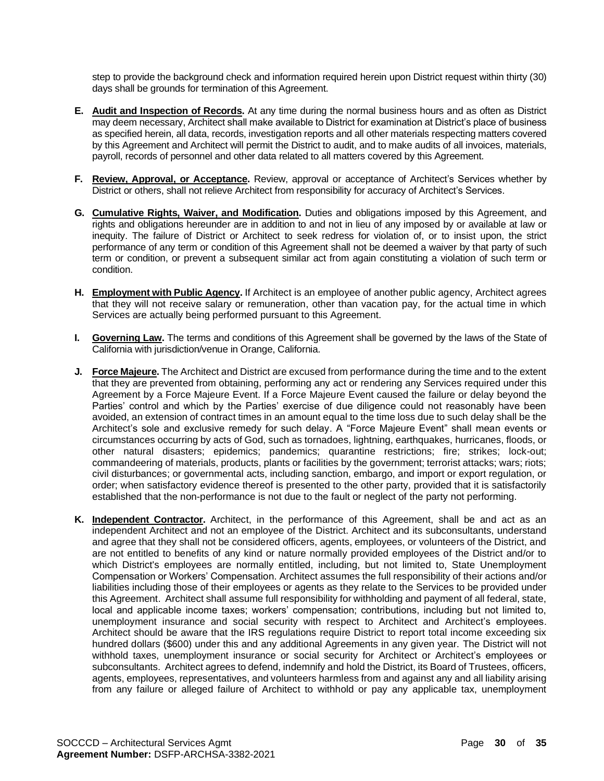step to provide the background check and information required herein upon District request within thirty (30) days shall be grounds for termination of this Agreement.

- **E. Audit and Inspection of Records.** At any time during the normal business hours and as often as District may deem necessary, Architect shall make available to District for examination at District's place of business as specified herein, all data, records, investigation reports and all other materials respecting matters covered by this Agreement and Architect will permit the District to audit, and to make audits of all invoices, materials, payroll, records of personnel and other data related to all matters covered by this Agreement.
- **F. Review, Approval, or Acceptance.** Review, approval or acceptance of Architect's Services whether by District or others, shall not relieve Architect from responsibility for accuracy of Architect's Services.
- **G. Cumulative Rights, Waiver, and Modification.** Duties and obligations imposed by this Agreement, and rights and obligations hereunder are in addition to and not in lieu of any imposed by or available at law or inequity. The failure of District or Architect to seek redress for violation of, or to insist upon, the strict performance of any term or condition of this Agreement shall not be deemed a waiver by that party of such term or condition, or prevent a subsequent similar act from again constituting a violation of such term or condition.
- **H. Employment with Public Agency.** If Architect is an employee of another public agency, Architect agrees that they will not receive salary or remuneration, other than vacation pay, for the actual time in which Services are actually being performed pursuant to this Agreement.
- **I. Governing Law.** The terms and conditions of this Agreement shall be governed by the laws of the State of California with jurisdiction/venue in Orange, California.
- **J. Force Majeure.** The Architect and District are excused from performance during the time and to the extent that they are prevented from obtaining, performing any act or rendering any Services required under this Agreement by a Force Majeure Event. If a Force Majeure Event caused the failure or delay beyond the Parties' control and which by the Parties' exercise of due diligence could not reasonably have been avoided, an extension of contract times in an amount equal to the time loss due to such delay shall be the Architect's sole and exclusive remedy for such delay. A "Force Majeure Event" shall mean events or circumstances occurring by acts of God, such as tornadoes, lightning, earthquakes, hurricanes, floods, or other natural disasters; epidemics; pandemics; quarantine restrictions; fire; strikes; lock-out; commandeering of materials, products, plants or facilities by the government; terrorist attacks; wars; riots; civil disturbances; or governmental acts, including sanction, embargo, and import or export regulation, or order; when satisfactory evidence thereof is presented to the other party, provided that it is satisfactorily established that the non-performance is not due to the fault or neglect of the party not performing.
- **K. Independent Contractor.** Architect, in the performance of this Agreement, shall be and act as an independent Architect and not an employee of the District. Architect and its subconsultants, understand and agree that they shall not be considered officers, agents, employees, or volunteers of the District, and are not entitled to benefits of any kind or nature normally provided employees of the District and/or to which District's employees are normally entitled, including, but not limited to, State Unemployment Compensation or Workers' Compensation. Architect assumes the full responsibility of their actions and/or liabilities including those of their employees or agents as they relate to the Services to be provided under this Agreement. Architect shall assume full responsibility for withholding and payment of all federal, state, local and applicable income taxes; workers' compensation; contributions, including but not limited to, unemployment insurance and social security with respect to Architect and Architect's employees. Architect should be aware that the IRS regulations require District to report total income exceeding six hundred dollars (\$600) under this and any additional Agreements in any given year. The District will not withhold taxes, unemployment insurance or social security for Architect or Architect's employees or subconsultants. Architect agrees to defend, indemnify and hold the District, its Board of Trustees, officers, agents, employees, representatives, and volunteers harmless from and against any and all liability arising from any failure or alleged failure of Architect to withhold or pay any applicable tax, unemployment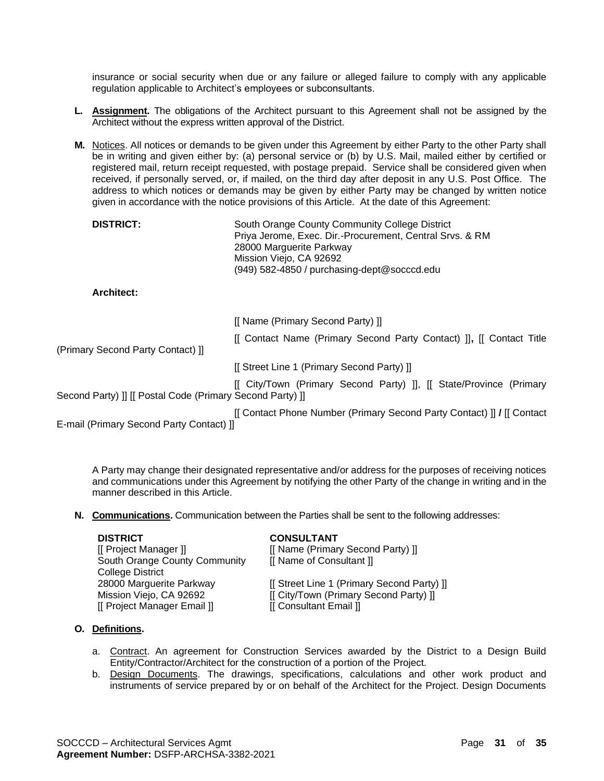insurance or social security when due or any failure or alleged failure to comply with any applicable regulation applicable to Architect's employees or subconsultants.

- **L. Assignment.** The obligations of the Architect pursuant to this Agreement shall not be assigned by the Architect without the express written approval of the District.
- **M.** Notices. All notices or demands to be given under this Agreement by either Party to the other Party shall be in writing and given either by: (a) personal service or (b) by U.S. Mail, mailed either by certified or registered mail, return receipt requested, with postage prepaid. Service shall be considered given when received, if personally served, or, if mailed, on the third day after deposit in any U.S. Post Office. The address to which notices or demands may be given by either Party may be changed by written notice given in accordance with the notice provisions of this Article. At the date of this Agreement:

| <b>DISTRICT:</b> | South Orange County Community College District<br>Priya Jerome, Exec. Dir.-Procurement, Central Srvs. & RM |  |
|------------------|------------------------------------------------------------------------------------------------------------|--|
|                  | 28000 Marguerite Parkway<br>Mission Viejo, CA 92692<br>(949) 582-4850 / purchasing-dept@socccd.edu         |  |

**Architect:**

(Primary Second Party Contact) ]]

|  |  | [[ Name (Primary Second Party) ]] |  |  |  |
|--|--|-----------------------------------|--|--|--|
|--|--|-----------------------------------|--|--|--|

[[ Contact Name (Primary Second Party Contact) ]]**,** [[ Contact Title

[[ Street Line 1 (Primary Second Party) ]]

[[ City/Town (Primary Second Party) ]], [[ State/Province (Primary Second Party) ]] [[ Postal Code (Primary Second Party) ]]

[[ Contact Phone Number (Primary Second Party Contact) ]] **/** [[ Contact E-mail (Primary Second Party Contact) ]]

A Party may change their designated representative and/or address for the purposes of receiving notices and communications under this Agreement by notifying the other Party of the change in writing and in the manner described in this Article.

**N. Communications.** Communication between the Parties shall be sent to the following addresses:

| <b>DISTRICT</b>               | <b>CONSULTANT</b>                          |
|-------------------------------|--------------------------------------------|
| [[ Project Manager ]]         | [[ Name (Primary Second Party) ]]          |
| South Orange County Community | [[ Name of Consultant ]]                   |
| College District              |                                            |
| 28000 Marguerite Parkway      | [[ Street Line 1 (Primary Second Party) ]] |
| Mission Viejo, CA 92692       | [[ City/Town (Primary Second Party) ]]     |
| [[ Project Manager Email ]]   | [[ Consultant Email ]]                     |
|                               |                                            |

# **O. Definitions.**

- a. Contract. An agreement for Construction Services awarded by the District to a Design Build Entity/Contractor/Architect for the construction of a portion of the Project.
- b. Design Documents. The drawings, specifications, calculations and other work product and instruments of service prepared by or on behalf of the Architect for the Project. Design Documents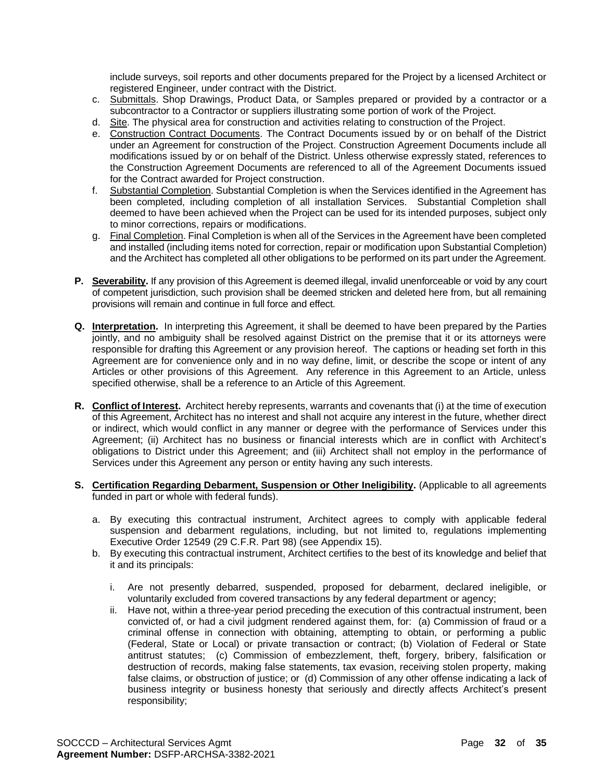include surveys, soil reports and other documents prepared for the Project by a licensed Architect or registered Engineer, under contract with the District.

- c. Submittals. Shop Drawings, Product Data, or Samples prepared or provided by a contractor or a subcontractor to a Contractor or suppliers illustrating some portion of work of the Project.
- d. Site. The physical area for construction and activities relating to construction of the Project.
- e. Construction Contract Documents. The Contract Documents issued by or on behalf of the District under an Agreement for construction of the Project. Construction Agreement Documents include all modifications issued by or on behalf of the District. Unless otherwise expressly stated, references to the Construction Agreement Documents are referenced to all of the Agreement Documents issued for the Contract awarded for Project construction.
- f. Substantial Completion. Substantial Completion is when the Services identified in the Agreement has been completed, including completion of all installation Services. Substantial Completion shall deemed to have been achieved when the Project can be used for its intended purposes, subject only to minor corrections, repairs or modifications.
- g. Final Completion. Final Completion is when all of the Services in the Agreement have been completed and installed (including items noted for correction, repair or modification upon Substantial Completion) and the Architect has completed all other obligations to be performed on its part under the Agreement.
- **P. Severability.** If any provision of this Agreement is deemed illegal, invalid unenforceable or void by any court of competent jurisdiction, such provision shall be deemed stricken and deleted here from, but all remaining provisions will remain and continue in full force and effect.
- **Q. Interpretation.** In interpreting this Agreement, it shall be deemed to have been prepared by the Parties jointly, and no ambiguity shall be resolved against District on the premise that it or its attorneys were responsible for drafting this Agreement or any provision hereof. The captions or heading set forth in this Agreement are for convenience only and in no way define, limit, or describe the scope or intent of any Articles or other provisions of this Agreement. Any reference in this Agreement to an Article, unless specified otherwise, shall be a reference to an Article of this Agreement.
- **R. Conflict of Interest.** Architect hereby represents, warrants and covenants that (i) at the time of execution of this Agreement, Architect has no interest and shall not acquire any interest in the future, whether direct or indirect, which would conflict in any manner or degree with the performance of Services under this Agreement; (ii) Architect has no business or financial interests which are in conflict with Architect's obligations to District under this Agreement; and (iii) Architect shall not employ in the performance of Services under this Agreement any person or entity having any such interests.
- **S. Certification Regarding Debarment, Suspension or Other Ineligibility.** (Applicable to all agreements funded in part or whole with federal funds).
	- a. By executing this contractual instrument, Architect agrees to comply with applicable federal suspension and debarment regulations, including, but not limited to, regulations implementing Executive Order 12549 (29 C.F.R. Part 98) (see Appendix 15).
	- b. By executing this contractual instrument, Architect certifies to the best of its knowledge and belief that it and its principals:
		- i. Are not presently debarred, suspended, proposed for debarment, declared ineligible, or voluntarily excluded from covered transactions by any federal department or agency;
		- ii. Have not, within a three-year period preceding the execution of this contractual instrument, been convicted of, or had a civil judgment rendered against them, for: (a) Commission of fraud or a criminal offense in connection with obtaining, attempting to obtain, or performing a public (Federal, State or Local) or private transaction or contract; (b) Violation of Federal or State antitrust statutes; (c) Commission of embezzlement, theft, forgery, bribery, falsification or destruction of records, making false statements, tax evasion, receiving stolen property, making false claims, or obstruction of justice; or (d) Commission of any other offense indicating a lack of business integrity or business honesty that seriously and directly affects Architect's present responsibility;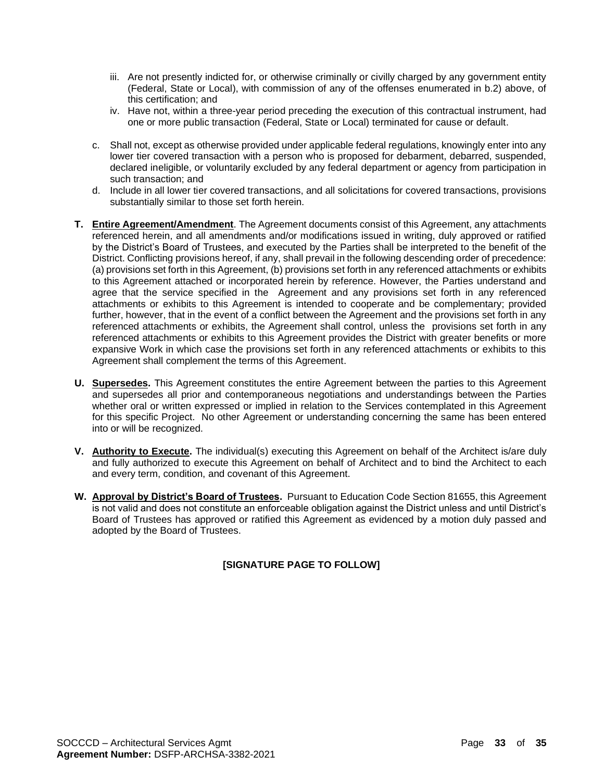- iii. Are not presently indicted for, or otherwise criminally or civilly charged by any government entity (Federal, State or Local), with commission of any of the offenses enumerated in b.2) above, of this certification; and
- iv. Have not, within a three-year period preceding the execution of this contractual instrument, had one or more public transaction (Federal, State or Local) terminated for cause or default.
- c. Shall not, except as otherwise provided under applicable federal regulations, knowingly enter into any lower tier covered transaction with a person who is proposed for debarment, debarred, suspended, declared ineligible, or voluntarily excluded by any federal department or agency from participation in such transaction; and
- d. Include in all lower tier covered transactions, and all solicitations for covered transactions, provisions substantially similar to those set forth herein.
- **T. Entire Agreement/Amendment**. The Agreement documents consist of this Agreement, any attachments referenced herein, and all amendments and/or modifications issued in writing, duly approved or ratified by the District's Board of Trustees, and executed by the Parties shall be interpreted to the benefit of the District. Conflicting provisions hereof, if any, shall prevail in the following descending order of precedence: (a) provisions set forth in this Agreement, (b) provisions set forth in any referenced attachments or exhibits to this Agreement attached or incorporated herein by reference. However, the Parties understand and agree that the service specified in the Agreement and any provisions set forth in any referenced attachments or exhibits to this Agreement is intended to cooperate and be complementary; provided further, however, that in the event of a conflict between the Agreement and the provisions set forth in any referenced attachments or exhibits, the Agreement shall control, unless the provisions set forth in any referenced attachments or exhibits to this Agreement provides the District with greater benefits or more expansive Work in which case the provisions set forth in any referenced attachments or exhibits to this Agreement shall complement the terms of this Agreement.
- **U. Supersedes.** This Agreement constitutes the entire Agreement between the parties to this Agreement and supersedes all prior and contemporaneous negotiations and understandings between the Parties whether oral or written expressed or implied in relation to the Services contemplated in this Agreement for this specific Project. No other Agreement or understanding concerning the same has been entered into or will be recognized.
- **V. Authority to Execute.** The individual(s) executing this Agreement on behalf of the Architect is/are duly and fully authorized to execute this Agreement on behalf of Architect and to bind the Architect to each and every term, condition, and covenant of this Agreement.
- **W. Approval by District's Board of Trustees.** Pursuant to Education Code Section 81655, this Agreement is not valid and does not constitute an enforceable obligation against the District unless and until District's Board of Trustees has approved or ratified this Agreement as evidenced by a motion duly passed and adopted by the Board of Trustees.

# **[SIGNATURE PAGE TO FOLLOW]**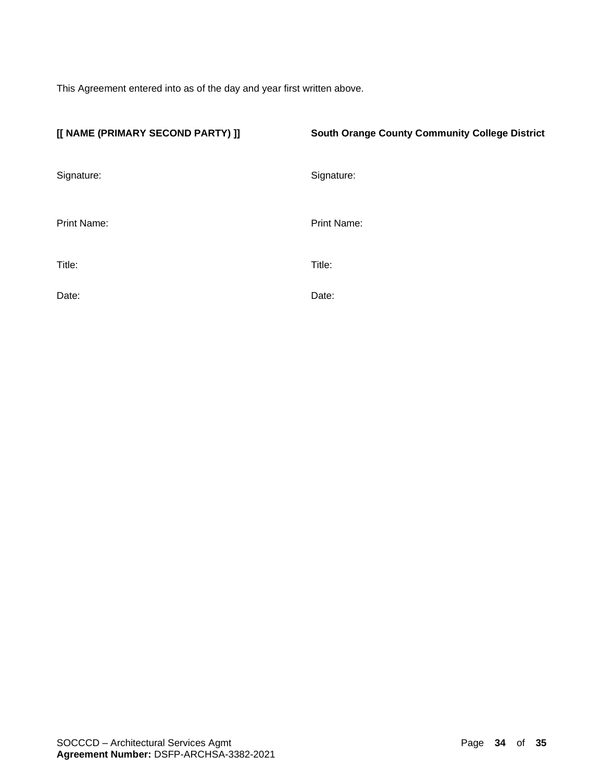This Agreement entered into as of the day and year first written above.

| [[ NAME (PRIMARY SECOND PARTY) ]] | <b>South Orange County Community College District</b> |
|-----------------------------------|-------------------------------------------------------|
| Signature:                        | Signature:                                            |
| Print Name:                       | Print Name:                                           |
| Title:                            | Title:                                                |
| Date:                             | Date:                                                 |